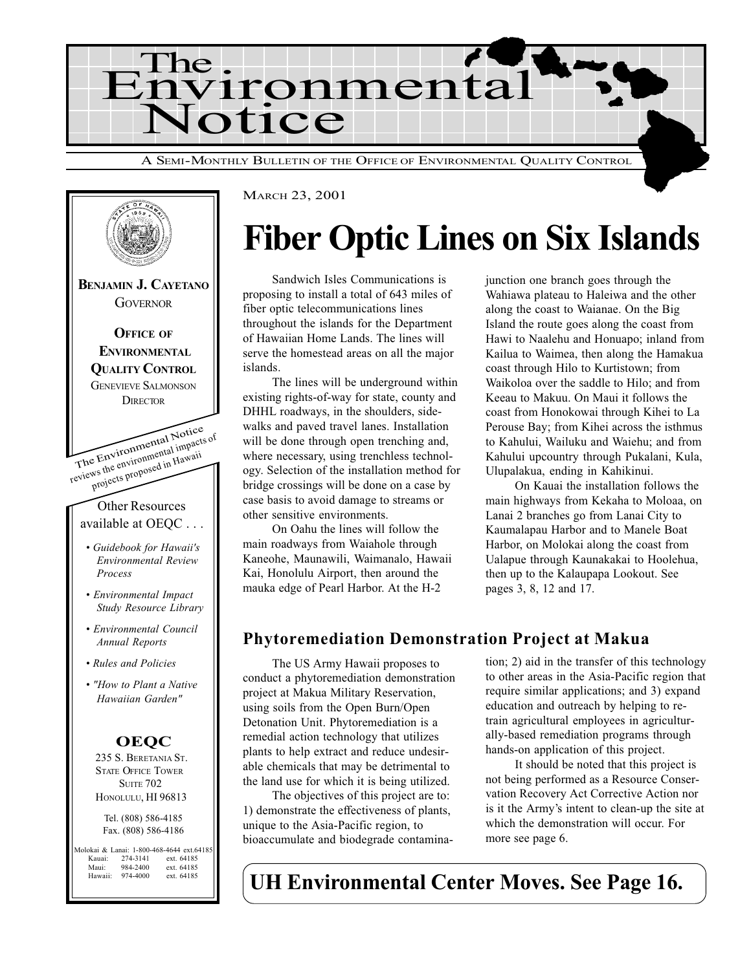



# Fiber Optic Lines on Six Islands

Sandwich Isles Communications is proposing to install a total of 643 miles of fiber optic telecommunications lines throughout the islands for the Department of Hawaiian Home Lands. The lines will serve the homestead areas on all the major islands.

The lines will be underground within existing rights-of-way for state, county and DHHL roadways, in the shoulders, sidewalks and paved travel lanes. Installation will be done through open trenching and, where necessary, using trenchless technology. Selection of the installation method for bridge crossings will be done on a case by case basis to avoid damage to streams or other sensitive environments.

On Oahu the lines will follow the main roadways from Waiahole through Kaneohe, Maunawili, Waimanalo, Hawaii Kai, Honolulu Airport, then around the mauka edge of Pearl Harbor. At the H-2

junction one branch goes through the Wahiawa plateau to Haleiwa and the other along the coast to Waianae. On the Big Island the route goes along the coast from Hawi to Naalehu and Honuapo; inland from Kailua to Waimea, then along the Hamakua coast through Hilo to Kurtistown; from Waikoloa over the saddle to Hilo; and from Keeau to Makuu. On Maui it follows the coast from Honokowai through Kihei to La Perouse Bay; from Kihei across the isthmus to Kahului, Wailuku and Waiehu; and from Kahului upcountry through Pukalani, Kula, Ulupalakua, ending in Kahikinui.

On Kauai the installation follows the main highways from Kekaha to Moloaa, on Lanai 2 branches go from Lanai City to Kaumalapau Harbor and to Manele Boat Harbor, on Molokai along the coast from Ualapue through Kaunakakai to Hoolehua, then up to the Kalaupapa Lookout. See pages 3, 8, 12 and 17.

### Phytoremediation Demonstration Project at Makua

The US Army Hawaii proposes to conduct a phytoremediation demonstration project at Makua Military Reservation, using soils from the Open Burn/Open Detonation Unit. Phytoremediation is a remedial action technology that utilizes plants to help extract and reduce undesirable chemicals that may be detrimental to the land use for which it is being utilized.

The objectives of this project are to: 1) demonstrate the effectiveness of plants, unique to the Asia-Pacific region, to bioaccumulate and biodegrade contamination; 2) aid in the transfer of this technology to other areas in the Asia-Pacific region that require similar applications; and 3) expand education and outreach by helping to retrain agricultural employees in agriculturally-based remediation programs through hands-on application of this project.

It should be noted that this project is not being performed as a Resource Conservation Recovery Act Corrective Action nor is it the Armys intent to clean-up the site at which the demonstration will occur. For more see page 6.

UH Environmental Center Moves. See Page 16.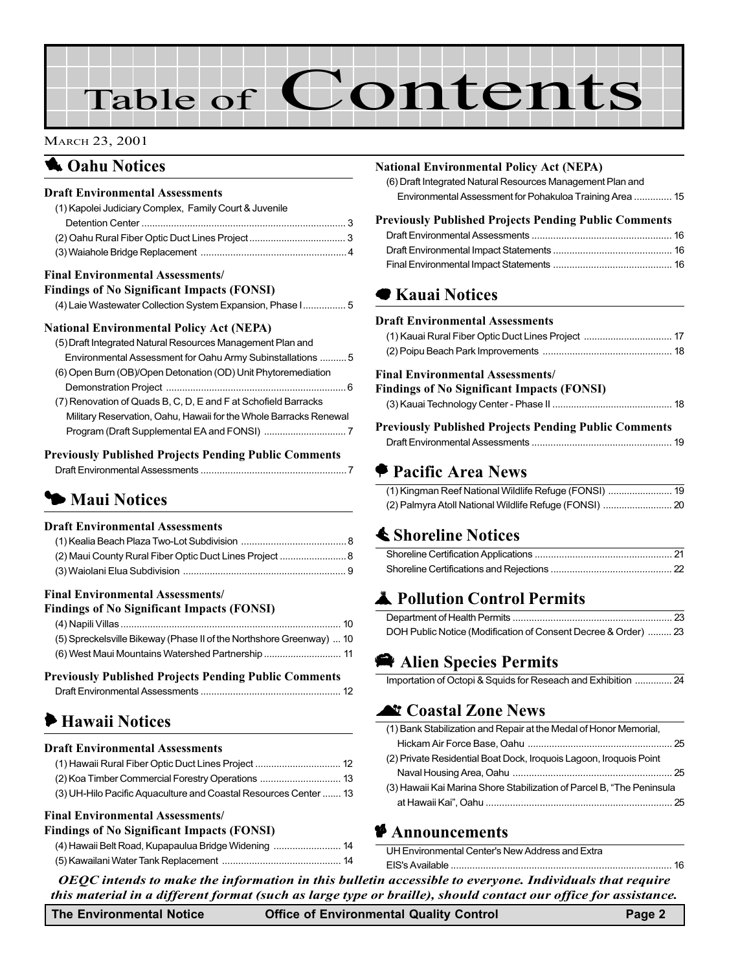# Table of Contents

#### MARCH 23, 2001

## **1** Oahu Notices

#### Draft Environmental Assessments

| (1) Kapolei Judiciary Complex, Family Court & Juvenile |  |
|--------------------------------------------------------|--|
|                                                        |  |
|                                                        |  |
|                                                        |  |

#### Final Environmental Assessments/

| <b>Findings of No Significant Impacts (FONSI)</b> |  |  |  |
|---------------------------------------------------|--|--|--|
|---------------------------------------------------|--|--|--|

| (4) Laie Wastewater Collection System Expansion, Phase I 5 |  |
|------------------------------------------------------------|--|
|                                                            |  |

#### National Environmental Policy Act (NEPA)

| (5) Draft Integrated Natural Resources Management Plan and        |  |
|-------------------------------------------------------------------|--|
| Environmental Assessment for Oahu Army Subinstallations 5         |  |
| (6) Open Burn (OB)/Open Detonation (OD) Unit Phytoremediation     |  |
|                                                                   |  |
| (7) Renovation of Quads B, C, D, E and F at Schofield Barracks    |  |
| Military Reservation, Oahu, Hawaii for the Whole Barracks Renewal |  |
|                                                                   |  |
|                                                                   |  |

#### Previously Published Projects Pending Public Comments

|--|

## **1 Maui Notices**

#### Draft Environmental Assessments

| (2) Maui County Rural Fiber Optic Duct Lines Project  8 |  |
|---------------------------------------------------------|--|
|                                                         |  |

#### Final Environmental Assessments/

#### Findings of No Significant Impacts (FONSI)

| (5) Spreckelsville Bikeway (Phase II of the Northshore Greenway)  10 |  |
|----------------------------------------------------------------------|--|
| (6) West Maui Mountains Watershed Partnership  11                    |  |

#### Previously Published Projects Pending Public Comments

|--|

# 6 Hawaii Notices

#### Draft Environmental Assessments

| (1) Hawaii Rural Fiber Optic Duct Lines Project  12              |  |
|------------------------------------------------------------------|--|
|                                                                  |  |
| (3) UH-Hilo Pacific Aquaculture and Coastal Resources Center  13 |  |

#### Final Environmental Assessments/

#### Findings of No Significant Impacts (FONSI)

#### National Environmental Policy Act (NEPA)

[\(6\) Draft Integrated Natural Resources Management Plan and](#page-14-0) Environmental Assessment for Pohakuloa Training Area .............. 15

### Previously Published Projects Pending Public Comments

## **■ [Kauai Notices](#page-16-0)**

#### Draft Environmental Assessments

#### Final Environmental Assessments/

#### Findings of No Significant Impacts (FONSI)

#### Previously Published Projects Pending Public Comments Draft Environmental Assessments .................................................... 19

## A Pacific Area News

# **≰ Shoreline Notices**

# **A** Pollution Control Permits

| DOH Public Notice (Modification of Consent Decree & Order)  23 |  |
|----------------------------------------------------------------|--|

# **Alien Species Permits**

| Importation of Octopi & Squids for Reseach and Exhibition  24 |  |
|---------------------------------------------------------------|--|
|---------------------------------------------------------------|--|

### **At [Coastal Zone News](#page-24-0)**

| (1) Bank Stabilization and Repair at the Medal of Honor Memorial,     |  |
|-----------------------------------------------------------------------|--|
|                                                                       |  |
| (2) Private Residential Boat Dock, Iroquois Lagoon, Iroquois Point    |  |
|                                                                       |  |
| (3) Hawaii Kai Marina Shore Stabilization of Parcel B, "The Peninsula |  |
|                                                                       |  |

#### $\bullet$  Announcements

UH Environmental Center's New Address and Extra

OEQC intends to make the information in this bulletin accessible to everyone. Individuals that require this material in a different format (such as large type or braille), should contact our office for assistance. EIS's Available .................................................................................. 16

The Environmental Notice **Office of Environmental Quality Control** Page 2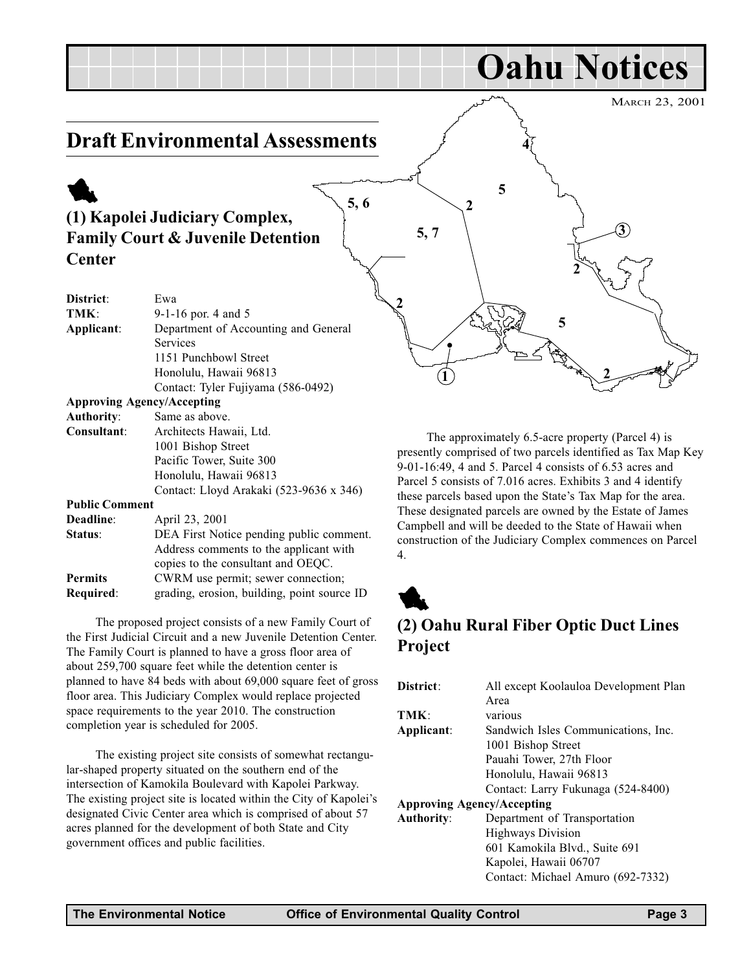<span id="page-2-0"></span>

Authority: Same as above. Consultant: Architects Hawaii, Ltd. 1001 Bishop Street Pacific Tower, Suite 300 Honolulu, Hawaii 96813 Contact: Lloyd Arakaki (523-9636 x 346) Public Comment Deadline: April 23, 2001 Status: DEA First Notice pending public comment. Address comments to the applicant with copies to the consultant and OEQC. Permits CWRM use permit; sewer connection;

Required: grading, erosion, building, point source ID

The proposed project consists of a new Family Court of the First Judicial Circuit and a new Juvenile Detention Center. The Family Court is planned to have a gross floor area of about 259,700 square feet while the detention center is planned to have 84 beds with about 69,000 square feet of gross floor area. This Judiciary Complex would replace projected space requirements to the year 2010. The construction completion year is scheduled for 2005.

The existing project site consists of somewhat rectangular-shaped property situated on the southern end of the intersection of Kamokila Boulevard with Kapolei Parkway. The existing project site is located within the City of Kapolei's designated Civic Center area which is comprised of about 57 acres planned for the development of both State and City government offices and public facilities.

The approximately 6.5-acre property (Parcel 4) is presently comprised of two parcels identified as Tax Map Key 9-01-16:49, 4 and 5. Parcel 4 consists of 6.53 acres and Parcel 5 consists of 7.016 acres. Exhibits 3 and 4 identify these parcels based upon the State's Tax Map for the area. These designated parcels are owned by the Estate of James Campbell and will be deeded to the State of Hawaii when construction of the Judiciary Complex commences on Parcel 4.



## (2) Oahu Rural Fiber Optic Duct Lines Project

| District:                         | All except Koolauloa Development Plan |
|-----------------------------------|---------------------------------------|
|                                   | Area                                  |
| TMK:                              | various                               |
| Applicant:                        | Sandwich Isles Communications, Inc.   |
|                                   | 1001 Bishop Street                    |
|                                   | Pauahi Tower, 27th Floor              |
|                                   | Honolulu, Hawaii 96813                |
|                                   | Contact: Larry Fukunaga (524-8400)    |
| <b>Approving Agency/Accepting</b> |                                       |
| <b>Authority:</b>                 | Department of Transportation          |
|                                   | <b>Highways Division</b>              |
|                                   | 601 Kamokila Blvd., Suite 691         |
|                                   | Kapolei, Hawaii 06707                 |
|                                   | Contact: Michael Amuro (692-7332)     |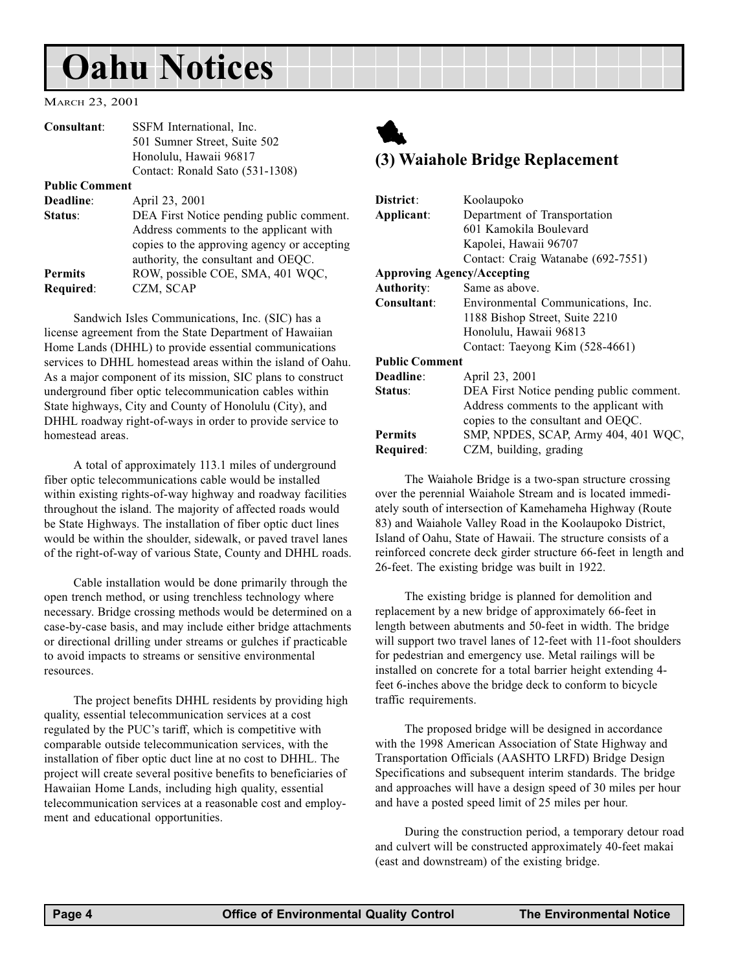# <span id="page-3-0"></span>Oahu Notices

MARCH 23, 2001

| Consultant:           | SSFM International, Inc.                                                                                                                                                 |
|-----------------------|--------------------------------------------------------------------------------------------------------------------------------------------------------------------------|
|                       | 501 Sumner Street, Suite 502                                                                                                                                             |
|                       | Honolulu, Hawaii 96817                                                                                                                                                   |
|                       | Contact: Ronald Sato (531-1308)                                                                                                                                          |
| <b>Public Comment</b> |                                                                                                                                                                          |
| Deadline:             | April 23, 2001                                                                                                                                                           |
| Status:               | DEA First Notice pending public comment.<br>Address comments to the applicant with<br>copies to the approving agency or accepting<br>authority, the consultant and OEQC. |
| <b>Permits</b>        | ROW, possible COE, SMA, 401 WQC,                                                                                                                                         |
| Required:             | CZM, SCAP                                                                                                                                                                |
|                       |                                                                                                                                                                          |

Sandwich Isles Communications, Inc. (SIC) has a license agreement from the State Department of Hawaiian Home Lands (DHHL) to provide essential communications services to DHHL homestead areas within the island of Oahu. As a major component of its mission, SIC plans to construct underground fiber optic telecommunication cables within State highways, City and County of Honolulu (City), and DHHL roadway right-of-ways in order to provide service to homestead areas.

A total of approximately 113.1 miles of underground fiber optic telecommunications cable would be installed within existing rights-of-way highway and roadway facilities throughout the island. The majority of affected roads would be State Highways. The installation of fiber optic duct lines would be within the shoulder, sidewalk, or paved travel lanes of the right-of-way of various State, County and DHHL roads.

Cable installation would be done primarily through the open trench method, or using trenchless technology where necessary. Bridge crossing methods would be determined on a case-by-case basis, and may include either bridge attachments or directional drilling under streams or gulches if practicable to avoid impacts to streams or sensitive environmental resources.

The project benefits DHHL residents by providing high quality, essential telecommunication services at a cost regulated by the PUC's tariff, which is competitive with comparable outside telecommunication services, with the installation of fiber optic duct line at no cost to DHHL. The project will create several positive benefits to beneficiaries of Hawaiian Home Lands, including high quality, essential telecommunication services at a reasonable cost and employment and educational opportunities.



## (3) Waiahole Bridge Replacement

| District:                         |                                          |
|-----------------------------------|------------------------------------------|
|                                   | Koolaupoko                               |
| Applicant:                        | Department of Transportation             |
|                                   | 601 Kamokila Boulevard                   |
|                                   | Kapolei, Hawaii 96707                    |
|                                   | Contact: Craig Watanabe (692-7551)       |
| <b>Approving Agency/Accepting</b> |                                          |
| <b>Authority:</b>                 | Same as above.                           |
| Consultant:                       | Environmental Communications, Inc.       |
|                                   | 1188 Bishop Street, Suite 2210           |
|                                   | Honolulu, Hawaii 96813                   |
|                                   | Contact: Taeyong Kim (528-4661)          |
| <b>Public Comment</b>             |                                          |
| Deadline:                         | April 23, 2001                           |
| Status:                           | DEA First Notice pending public comment. |
|                                   | Address comments to the applicant with   |
|                                   | copies to the consultant and OEQC.       |
| <b>Permits</b>                    | SMP, NPDES, SCAP, Army 404, 401 WQC,     |
| Required:                         | CZM, building, grading                   |

The Waiahole Bridge is a two-span structure crossing over the perennial Waiahole Stream and is located immediately south of intersection of Kamehameha Highway (Route 83) and Waiahole Valley Road in the Koolaupoko District, Island of Oahu, State of Hawaii. The structure consists of a reinforced concrete deck girder structure 66-feet in length and 26-feet. The existing bridge was built in 1922.

The existing bridge is planned for demolition and replacement by a new bridge of approximately 66-feet in length between abutments and 50-feet in width. The bridge will support two travel lanes of 12-feet with 11-foot shoulders for pedestrian and emergency use. Metal railings will be installed on concrete for a total barrier height extending 4 feet 6-inches above the bridge deck to conform to bicycle traffic requirements.

The proposed bridge will be designed in accordance with the 1998 American Association of State Highway and Transportation Officials (AASHTO LRFD) Bridge Design Specifications and subsequent interim standards. The bridge and approaches will have a design speed of 30 miles per hour and have a posted speed limit of 25 miles per hour.

During the construction period, a temporary detour road and culvert will be constructed approximately 40-feet makai (east and downstream) of the existing bridge.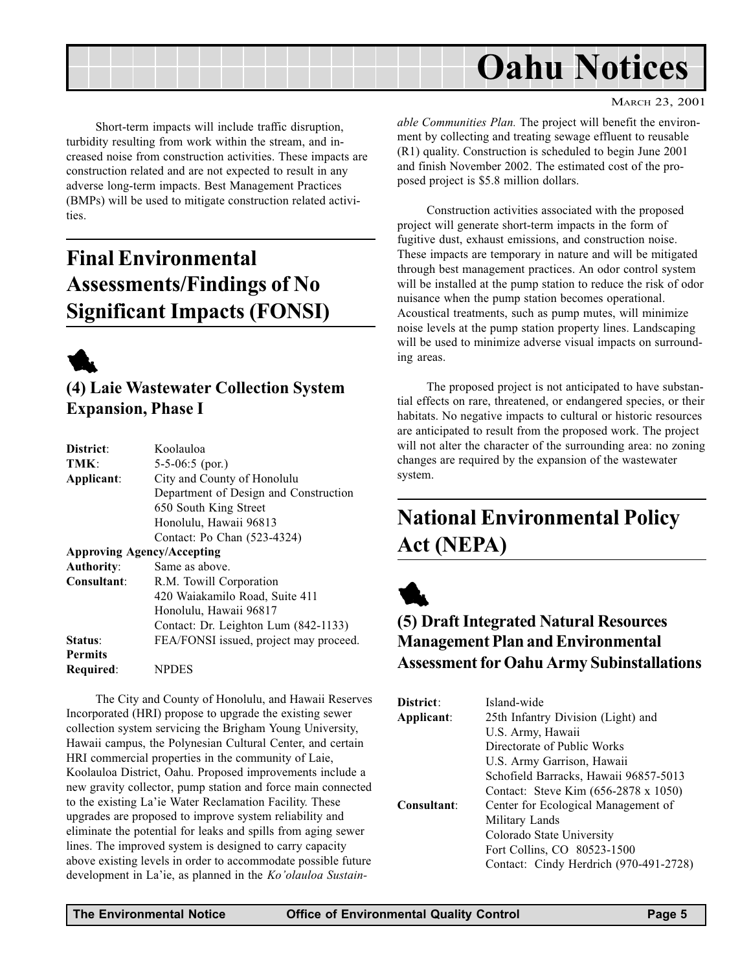<span id="page-4-0"></span>

Short-term impacts will include traffic disruption, turbidity resulting from work within the stream, and increased noise from construction activities. These impacts are construction related and are not expected to result in any adverse long-term impacts. Best Management Practices (BMPs) will be used to mitigate construction related activities.

# Final Environmental Assessments/Findings of No Significant Impacts (FONSI)



(4) Laie Wastewater Collection System Expansion, Phase I

| District:         | Koolauloa                              |
|-------------------|----------------------------------------|
| TMK:              | $5-5-06:5$ (por.)                      |
| Applicant:        | City and County of Honolulu            |
|                   | Department of Design and Construction  |
|                   | 650 South King Street                  |
|                   | Honolulu, Hawaii 96813                 |
|                   | Contact: Po Chan (523-4324)            |
|                   | <b>Approving Agency/Accepting</b>      |
| <b>Authority:</b> | Same as above.                         |
| Consultant:       | R.M. Towill Corporation                |
|                   | 420 Waiakamilo Road, Suite 411         |
|                   | Honolulu, Hawaii 96817                 |
|                   | Contact: Dr. Leighton Lum (842-1133)   |
| Status:           | FEA/FONSI issued, project may proceed. |
| <b>Permits</b>    |                                        |
| Required:         | <b>NPDES</b>                           |

The City and County of Honolulu, and Hawaii Reserves Incorporated (HRI) propose to upgrade the existing sewer collection system servicing the Brigham Young University, Hawaii campus, the Polynesian Cultural Center, and certain HRI commercial properties in the community of Laie, Koolauloa District, Oahu. Proposed improvements include a new gravity collector, pump station and force main connected to the existing La'ie Water Reclamation Facility. These upgrades are proposed to improve system reliability and eliminate the potential for leaks and spills from aging sewer lines. The improved system is designed to carry capacity above existing levels in order to accommodate possible future development in La'ie, as planned in the Ko'olauloa Sustainable Communities Plan. The project will benefit the environment by collecting and treating sewage effluent to reusable (R1) quality. Construction is scheduled to begin June 2001 and finish November 2002. The estimated cost of the proposed project is \$5.8 million dollars.

Construction activities associated with the proposed project will generate short-term impacts in the form of fugitive dust, exhaust emissions, and construction noise. These impacts are temporary in nature and will be mitigated through best management practices. An odor control system will be installed at the pump station to reduce the risk of odor nuisance when the pump station becomes operational. Acoustical treatments, such as pump mutes, will minimize noise levels at the pump station property lines. Landscaping will be used to minimize adverse visual impacts on surrounding areas.

The proposed project is not anticipated to have substantial effects on rare, threatened, or endangered species, or their habitats. No negative impacts to cultural or historic resources are anticipated to result from the proposed work. The project will not alter the character of the surrounding area: no zoning changes are required by the expansion of the wastewater system.

# National Environmental Policy Act (NEPA)



# (5) Draft Integrated Natural Resources Management Plan and Environmental Assessment for Oahu Army Subinstallations

| District:   | Island-wide                            |
|-------------|----------------------------------------|
| Applicant:  | 25th Infantry Division (Light) and     |
|             | U.S. Army, Hawaii                      |
|             | Directorate of Public Works            |
|             | U.S. Army Garrison, Hawaii             |
|             | Schofield Barracks, Hawaii 96857-5013  |
|             | Contact: Steve Kim (656-2878 x 1050)   |
| Consultant: | Center for Ecological Management of    |
|             | Military Lands                         |
|             | Colorado State University              |
|             | Fort Collins, CO 80523-1500            |
|             | Contact: Cindy Herdrich (970-491-2728) |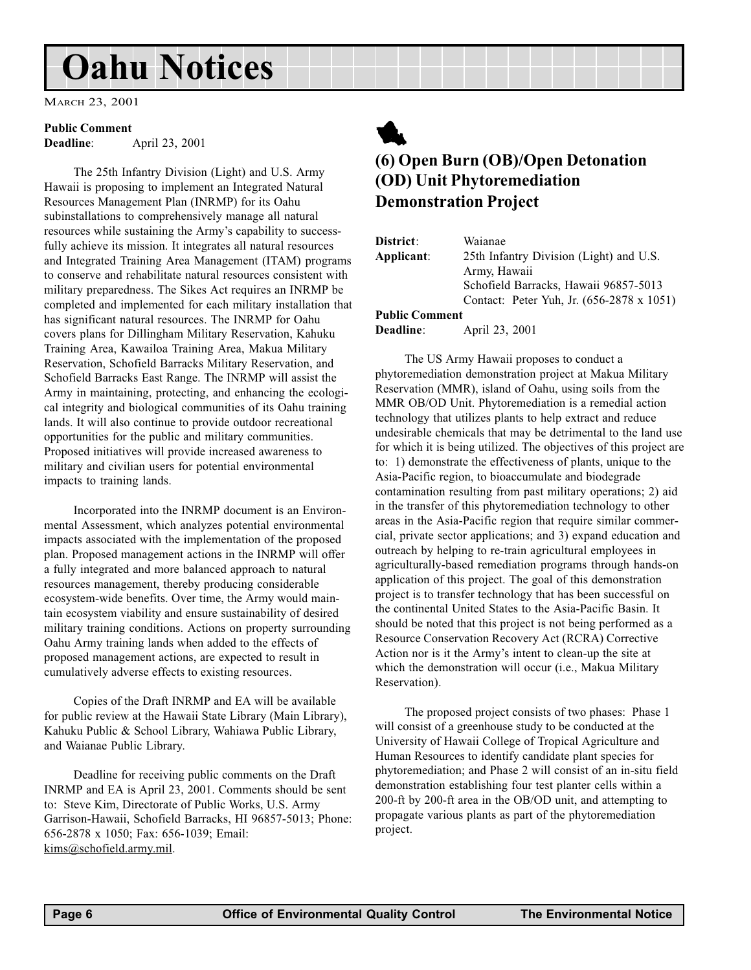# <span id="page-5-0"></span>Oahu Notices

MARCH 23, 2001

#### Public Comment

Deadline: April 23, 2001

The 25th Infantry Division (Light) and U.S. Army Hawaii is proposing to implement an Integrated Natural Resources Management Plan (INRMP) for its Oahu subinstallations to comprehensively manage all natural resources while sustaining the Army's capability to successfully achieve its mission. It integrates all natural resources and Integrated Training Area Management (ITAM) programs to conserve and rehabilitate natural resources consistent with military preparedness. The Sikes Act requires an INRMP be completed and implemented for each military installation that has significant natural resources. The INRMP for Oahu covers plans for Dillingham Military Reservation, Kahuku Training Area, Kawailoa Training Area, Makua Military Reservation, Schofield Barracks Military Reservation, and Schofield Barracks East Range. The INRMP will assist the Army in maintaining, protecting, and enhancing the ecological integrity and biological communities of its Oahu training lands. It will also continue to provide outdoor recreational opportunities for the public and military communities. Proposed initiatives will provide increased awareness to military and civilian users for potential environmental impacts to training lands.

Incorporated into the INRMP document is an Environmental Assessment, which analyzes potential environmental impacts associated with the implementation of the proposed plan. Proposed management actions in the INRMP will offer a fully integrated and more balanced approach to natural resources management, thereby producing considerable ecosystem-wide benefits. Over time, the Army would maintain ecosystem viability and ensure sustainability of desired military training conditions. Actions on property surrounding Oahu Army training lands when added to the effects of proposed management actions, are expected to result in cumulatively adverse effects to existing resources.

Copies of the Draft INRMP and EA will be available for public review at the Hawaii State Library (Main Library), Kahuku Public & School Library, Wahiawa Public Library, and Waianae Public Library.

Deadline for receiving public comments on the Draft INRMP and EA is April 23, 2001. Comments should be sent to: Steve Kim, Directorate of Public Works, U.S. Army Garrison-Hawaii, Schofield Barracks, HI 96857-5013; Phone: 656-2878 x 1050; Fax: 656-1039; Email: kims@schofield.army.mil.



### (6) Open Burn (OB)/Open Detonation (OD) Unit Phytoremediation Demonstration Project

| <b>District</b> :     | Waianae                                   |
|-----------------------|-------------------------------------------|
| Applicant:            | 25th Infantry Division (Light) and U.S.   |
|                       | Army, Hawaii                              |
|                       | Schofield Barracks, Hawaii 96857-5013     |
|                       | Contact: Peter Yuh, Jr. (656-2878 x 1051) |
| <b>Public Comment</b> |                                           |

Deadline: April 23, 2001

The US Army Hawaii proposes to conduct a phytoremediation demonstration project at Makua Military Reservation (MMR), island of Oahu, using soils from the MMR OB/OD Unit. Phytoremediation is a remedial action technology that utilizes plants to help extract and reduce undesirable chemicals that may be detrimental to the land use for which it is being utilized. The objectives of this project are to: 1) demonstrate the effectiveness of plants, unique to the Asia-Pacific region, to bioaccumulate and biodegrade contamination resulting from past military operations; 2) aid in the transfer of this phytoremediation technology to other areas in the Asia-Pacific region that require similar commercial, private sector applications; and 3) expand education and outreach by helping to re-train agricultural employees in agriculturally-based remediation programs through hands-on application of this project. The goal of this demonstration project is to transfer technology that has been successful on the continental United States to the Asia-Pacific Basin. It should be noted that this project is not being performed as a Resource Conservation Recovery Act (RCRA) Corrective Action nor is it the Army's intent to clean-up the site at which the demonstration will occur (i.e., Makua Military Reservation).

The proposed project consists of two phases: Phase 1 will consist of a greenhouse study to be conducted at the University of Hawaii College of Tropical Agriculture and Human Resources to identify candidate plant species for phytoremediation; and Phase 2 will consist of an in-situ field demonstration establishing four test planter cells within a 200-ft by 200-ft area in the OB/OD unit, and attempting to propagate various plants as part of the phytoremediation project.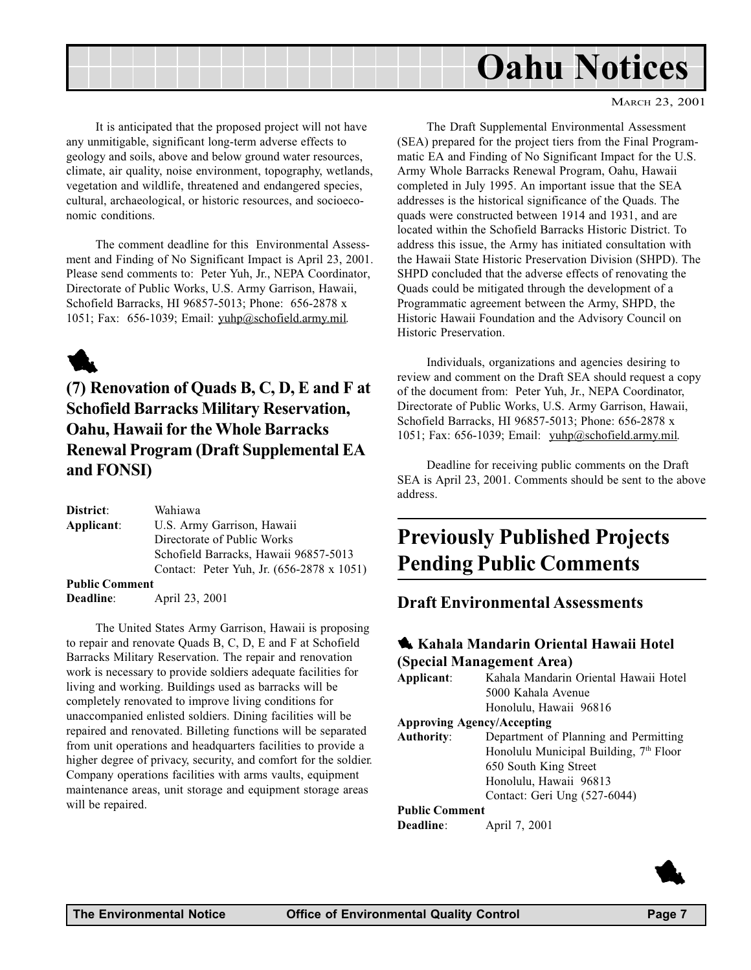<span id="page-6-0"></span>

It is anticipated that the proposed project will not have any unmitigable, significant long-term adverse effects to geology and soils, above and below ground water resources, climate, air quality, noise environment, topography, wetlands, vegetation and wildlife, threatened and endangered species, cultural, archaeological, or historic resources, and socioeconomic conditions.

The comment deadline for this Environmental Assessment and Finding of No Significant Impact is April 23, 2001. Please send comments to: Peter Yuh, Jr., NEPA Coordinator, Directorate of Public Works, U.S. Army Garrison, Hawaii, Schofield Barracks, HI 96857-5013; Phone: 656-2878 x 1051; Fax: 656-1039; Email: yuhp@schofield.army.mil.

# 1

(7) Renovation of Quads B, C, D, E and F at Schofield Barracks Military Reservation, Oahu, Hawaii for the Whole Barracks Renewal Program (Draft Supplemental EA and FONSI)

District: Wahiawa Applicant: U.S. Army Garrison, Hawaii Directorate of Public Works Schofield Barracks, Hawaii 96857-5013 Contact: Peter Yuh, Jr. (656-2878 x 1051) Public Comment Deadline: April 23, 2001

The United States Army Garrison, Hawaii is proposing to repair and renovate Quads B, C, D, E and F at Schofield Barracks Military Reservation. The repair and renovation work is necessary to provide soldiers adequate facilities for living and working. Buildings used as barracks will be completely renovated to improve living conditions for unaccompanied enlisted soldiers. Dining facilities will be repaired and renovated. Billeting functions will be separated from unit operations and headquarters facilities to provide a higher degree of privacy, security, and comfort for the soldier. Company operations facilities with arms vaults, equipment maintenance areas, unit storage and equipment storage areas will be repaired.

The Draft Supplemental Environmental Assessment (SEA) prepared for the project tiers from the Final Programmatic EA and Finding of No Significant Impact for the U.S. Army Whole Barracks Renewal Program, Oahu, Hawaii completed in July 1995. An important issue that the SEA addresses is the historical significance of the Quads. The quads were constructed between 1914 and 1931, and are located within the Schofield Barracks Historic District. To address this issue, the Army has initiated consultation with the Hawaii State Historic Preservation Division (SHPD). The SHPD concluded that the adverse effects of renovating the Quads could be mitigated through the development of a Programmatic agreement between the Army, SHPD, the Historic Hawaii Foundation and the Advisory Council on Historic Preservation.

Individuals, organizations and agencies desiring to review and comment on the Draft SEA should request a copy of the document from: Peter Yuh, Jr., NEPA Coordinator, Directorate of Public Works, U.S. Army Garrison, Hawaii, Schofield Barracks, HI 96857-5013; Phone: 656-2878 x 1051; Fax: 656-1039; Email: yuhp@schofield.army.mil.

Deadline for receiving public comments on the Draft SEA is April 23, 2001. Comments should be sent to the above address.

# Previously Published Projects Pending Public Comments

### Draft Environmental Assessments

### 1 Kahala Mandarin Oriental Hawaii Hotel (Special Management Area)

| Applicant:                        | Kahala Mandarin Oriental Hawaii Hotel              |
|-----------------------------------|----------------------------------------------------|
|                                   | 5000 Kahala Avenue                                 |
|                                   | Honolulu, Hawaii 96816                             |
| <b>Approving Agency/Accepting</b> |                                                    |
| <b>Authority:</b>                 | Department of Planning and Permitting              |
|                                   | Honolulu Municipal Building, 7 <sup>th</sup> Floor |
|                                   | 650 South King Street                              |
|                                   | Honolulu, Hawaii 96813                             |
|                                   | Contact: Geri Ung (527-6044)                       |
| <b>Public Comment</b>             |                                                    |

Deadline: April 7, 2001

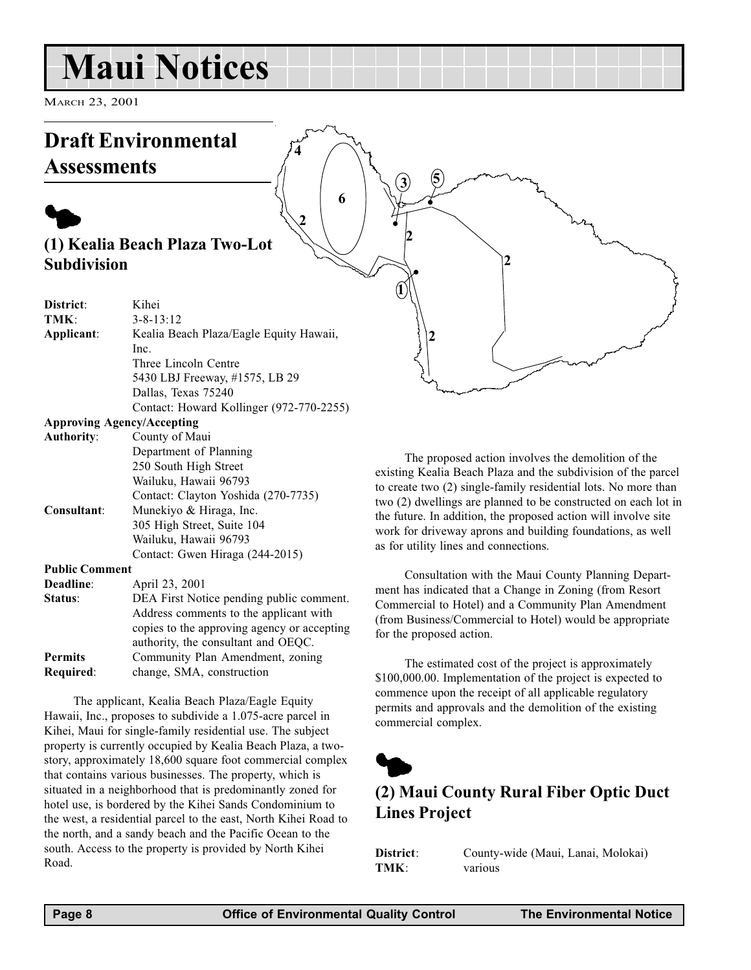# <span id="page-7-0"></span>Maui Notices

MARCH 23, 2001

# Draft Environmental Assessments

# $\blacklozenge$ (1) Kealia Beach Plaza Two-Lot Subdivision

| District:             | Kihei                                    |
|-----------------------|------------------------------------------|
| TMK:                  | $3 - 8 - 13:12$                          |
| Applicant:            | Kealia Beach Plaza/Eagle Equity Hawaii,  |
|                       | Inc.                                     |
|                       | Three Lincoln Centre                     |
|                       | 5430 LBJ Freeway, #1575, LB 29           |
|                       | Dallas, Texas 75240                      |
|                       | Contact: Howard Kollinger (972-770-2255) |
|                       | <b>Approving Agency/Accepting</b>        |
| Authority:            | County of Maui                           |
|                       | Department of Planning                   |
|                       | 250 South High Street                    |
|                       | Wailuku, Hawaii 96793                    |
|                       | Contact: Clayton Yoshida (270-7735)      |
| Consultant:           | Munekiyo & Hiraga, Inc.                  |
|                       | 305 High Street, Suite 104               |
|                       | Wailuku, Hawaii 96793                    |
|                       | Contact: Gwen Hiraga (244-2015)          |
| <b>Public Comment</b> |                                          |
| Deadline:             | April 23, 2001                           |
|                       | <b>DDI D' 11</b>                         |

| Address comments to the applicant with      |
|---------------------------------------------|
| copies to the approving agency or accepting |
|                                             |
|                                             |
|                                             |
|                                             |

The applicant, Kealia Beach Plaza/Eagle Equity Hawaii, Inc., proposes to subdivide a 1.075-acre parcel in Kihei, Maui for single-family residential use. The subject property is currently occupied by Kealia Beach Plaza, a twostory, approximately 18,600 square foot commercial complex that contains various businesses. The property, which is situated in a neighborhood that is predominantly zoned for hotel use, is bordered by the Kihei Sands Condominium to the west, a residential parcel to the east, North Kihei Road to the north, and a sandy beach and the Pacific Ocean to the south. Access to the property is provided by North Kihei Road.

The proposed action involves the demolition of the existing Kealia Beach Plaza and the subdivision of the parcel to create two (2) single-family residential lots. No more than two (2) dwellings are planned to be constructed on each lot in the future. In addition, the proposed action will involve site work for driveway aprons and building foundations, as well as for utility lines and connections.

2

Consultation with the Maui County Planning Department has indicated that a Change in Zoning (from Resort Commercial to Hotel) and a Community Plan Amendment (from Business/Commercial to Hotel) would be appropriate for the proposed action.

The estimated cost of the project is approximately \$100,000.00. Implementation of the project is expected to commence upon the receipt of all applicable regulatory permits and approvals and the demolition of the existing commercial complex.



1

.

2

2

 $2 \left( \begin{array}{c} 6 \end{array} \right)$ 

6

4

 $3)$   $5$ 

# (2) Maui County Rural Fiber Optic Duct Lines Project

District: County-wide (Maui, Lanai, Molokai) TMK: various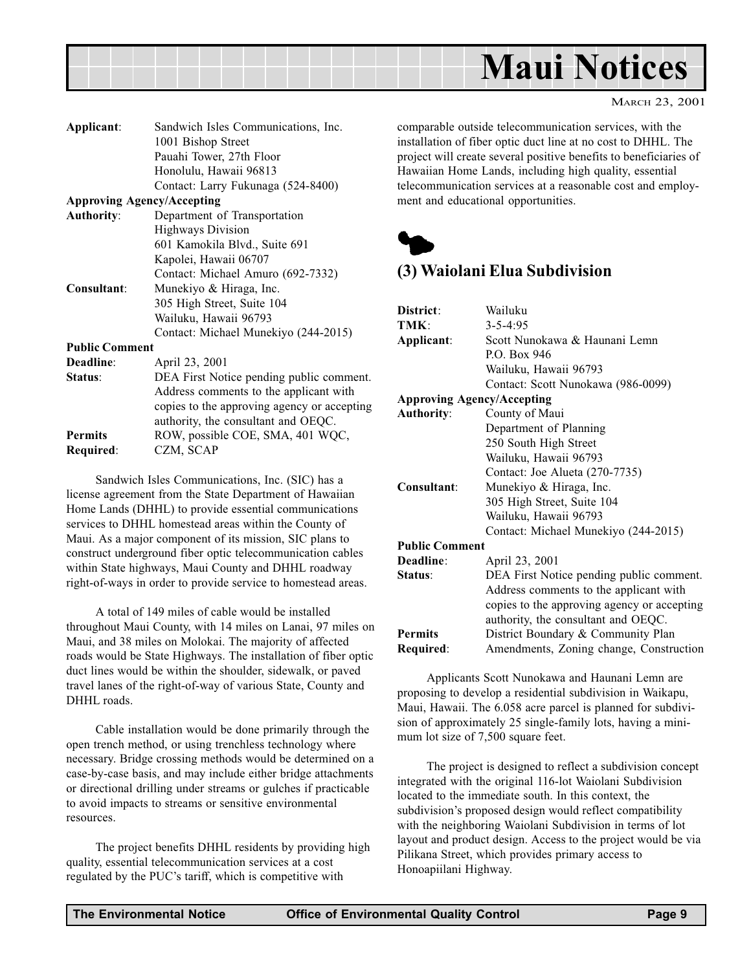<span id="page-8-0"></span>

| Applicant:                        | Sandwich Isles Communications, Inc.         |
|-----------------------------------|---------------------------------------------|
|                                   | 1001 Bishop Street                          |
|                                   | Pauahi Tower, 27th Floor                    |
|                                   | Honolulu, Hawaii 96813                      |
|                                   | Contact: Larry Fukunaga (524-8400)          |
| <b>Approving Agency/Accepting</b> |                                             |
| <b>Authority:</b>                 | Department of Transportation                |
|                                   | <b>Highways Division</b>                    |
|                                   | 601 Kamokila Blvd., Suite 691               |
|                                   | Kapolei, Hawaii 06707                       |
|                                   | Contact: Michael Amuro (692-7332)           |
| Consultant:                       | Munekiyo & Hiraga, Inc.                     |
|                                   | 305 High Street, Suite 104                  |
|                                   | Wailuku, Hawaii 96793                       |
|                                   | Contact: Michael Munekiyo (244-2015)        |
| <b>Public Comment</b>             |                                             |
| Deadline:                         | April 23, 2001                              |
| <b>Status:</b>                    | DEA First Notice pending public comment.    |
|                                   | Address comments to the applicant with      |
|                                   | copies to the approving agency or accepting |
|                                   | authority, the consultant and OEQC.         |
| <b>Permits</b>                    | ROW, possible COE, SMA, 401 WQC,            |
| Required:                         | CZM, SCAP                                   |
|                                   |                                             |

Sandwich Isles Communications, Inc. (SIC) has a license agreement from the State Department of Hawaiian Home Lands (DHHL) to provide essential communications services to DHHL homestead areas within the County of Maui. As a major component of its mission, SIC plans to construct underground fiber optic telecommunication cables within State highways, Maui County and DHHL roadway right-of-ways in order to provide service to homestead areas.

A total of 149 miles of cable would be installed throughout Maui County, with 14 miles on Lanai, 97 miles on Maui, and 38 miles on Molokai. The majority of affected roads would be State Highways. The installation of fiber optic duct lines would be within the shoulder, sidewalk, or paved travel lanes of the right-of-way of various State, County and DHHL roads.

Cable installation would be done primarily through the open trench method, or using trenchless technology where necessary. Bridge crossing methods would be determined on a case-by-case basis, and may include either bridge attachments or directional drilling under streams or gulches if practicable to avoid impacts to streams or sensitive environmental resources.

The project benefits DHHL residents by providing high quality, essential telecommunication services at a cost regulated by the PUC's tariff, which is competitive with

comparable outside telecommunication services, with the installation of fiber optic duct line at no cost to DHHL. The project will create several positive benefits to beneficiaries of Hawaiian Home Lands, including high quality, essential telecommunication services at a reasonable cost and employment and educational opportunities.



## (3) Waiolani Elua Subdivision

| District:                         | Wailuku                                     |
|-----------------------------------|---------------------------------------------|
| TMK:                              | $3 - 5 - 4:95$                              |
| Applicant:                        | Scott Nunokawa & Haunani Lemn               |
|                                   | P.O. Box 946                                |
|                                   | Wailuku, Hawaii 96793                       |
|                                   | Contact: Scott Nunokawa (986-0099)          |
| <b>Approving Agency/Accepting</b> |                                             |
| <b>Authority:</b>                 | County of Maui                              |
|                                   | Department of Planning                      |
|                                   | 250 South High Street                       |
|                                   | Wailuku, Hawaii 96793                       |
|                                   | Contact: Joe Alueta (270-7735)              |
| Consultant:                       | Munekiyo & Hiraga, Inc.                     |
|                                   | 305 High Street, Suite 104                  |
|                                   | Wailuku, Hawaii 96793                       |
|                                   | Contact: Michael Munekiyo (244-2015)        |
| <b>Public Comment</b>             |                                             |
| Deadline:                         | April 23, 2001                              |
| Status:                           | DEA First Notice pending public comment.    |
|                                   | Address comments to the applicant with      |
|                                   | copies to the approving agency or accepting |
|                                   | authority, the consultant and OEQC.         |
| <b>Permits</b>                    | District Boundary & Community Plan          |
| Required:                         | Amendments, Zoning change, Construction     |
|                                   |                                             |

Applicants Scott Nunokawa and Haunani Lemn are proposing to develop a residential subdivision in Waikapu, Maui, Hawaii. The 6.058 acre parcel is planned for subdivision of approximately 25 single-family lots, having a minimum lot size of 7,500 square feet.

The project is designed to reflect a subdivision concept integrated with the original 116-lot Waiolani Subdivision located to the immediate south. In this context, the subdivision's proposed design would reflect compatibility with the neighboring Waiolani Subdivision in terms of lot layout and product design. Access to the project would be via Pilikana Street, which provides primary access to Honoapiilani Highway.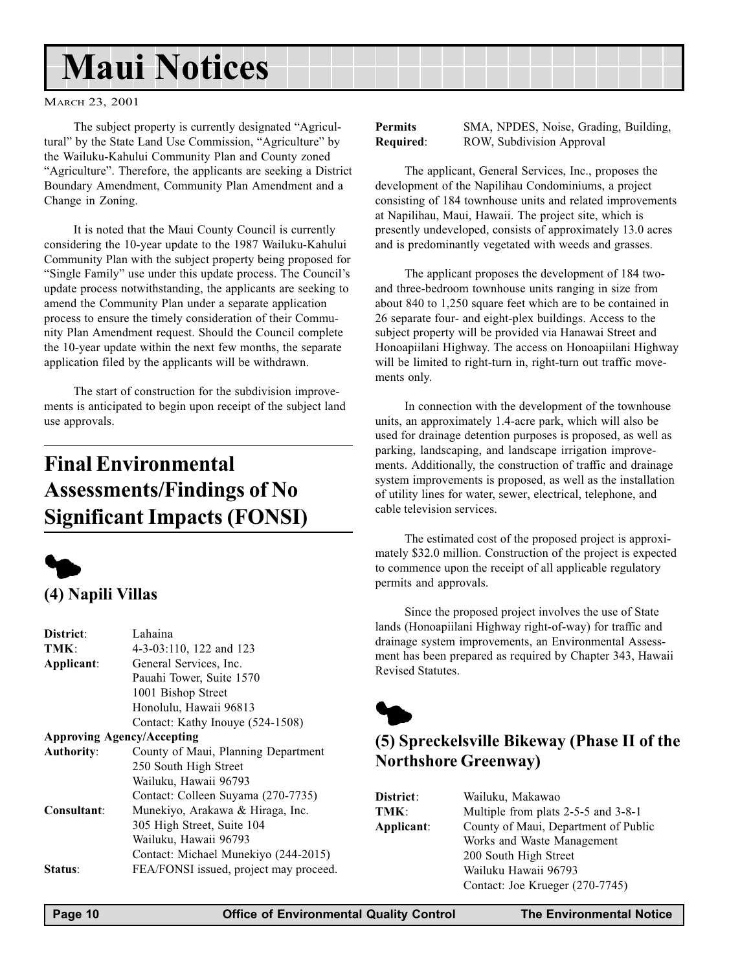# <span id="page-9-0"></span>Maui Notices

MARCH 23, 2001

The subject property is currently designated "Agricultural" by the State Land Use Commission, "Agriculture" by the Wailuku-Kahului Community Plan and County zoned "Agriculture". Therefore, the applicants are seeking a District Boundary Amendment, Community Plan Amendment and a Change in Zoning.

It is noted that the Maui County Council is currently considering the 10-year update to the 1987 Wailuku-Kahului Community Plan with the subject property being proposed for "Single Family" use under this update process. The Council's update process notwithstanding, the applicants are seeking to amend the Community Plan under a separate application process to ensure the timely consideration of their Community Plan Amendment request. Should the Council complete the 10-year update within the next few months, the separate application filed by the applicants will be withdrawn.

The start of construction for the subdivision improvements is anticipated to begin upon receipt of the subject land use approvals.

# Final Environmental Assessments/Findings of No Significant Impacts (FONSI)



## (4) Napili Villas

| District:                         | Lahaina                                |
|-----------------------------------|----------------------------------------|
| TMK:                              | 4-3-03:110, 122 and 123                |
| Applicant:                        | General Services, Inc.                 |
|                                   | Pauahi Tower, Suite 1570               |
|                                   | 1001 Bishop Street                     |
|                                   | Honolulu, Hawaii 96813                 |
|                                   | Contact: Kathy Inouye (524-1508)       |
| <b>Approving Agency/Accepting</b> |                                        |
| <b>Authority:</b>                 | County of Maui, Planning Department    |
|                                   | 250 South High Street                  |
|                                   | Wailuku, Hawaii 96793                  |
|                                   | Contact: Colleen Suyama (270-7735)     |
| Consultant:                       | Munekiyo, Arakawa & Hiraga, Inc.       |
|                                   | 305 High Street, Suite 104             |
|                                   | Wailuku, Hawaii 96793                  |
|                                   | Contact: Michael Munekiyo (244-2015)   |
| <b>Status:</b>                    | FEA/FONSI issued, project may proceed. |

Permits SMA, NPDES, Noise, Grading, Building, Required: ROW, Subdivision Approval

The applicant, General Services, Inc., proposes the development of the Napilihau Condominiums, a project consisting of 184 townhouse units and related improvements at Napilihau, Maui, Hawaii. The project site, which is presently undeveloped, consists of approximately 13.0 acres and is predominantly vegetated with weeds and grasses.

The applicant proposes the development of 184 twoand three-bedroom townhouse units ranging in size from about 840 to 1,250 square feet which are to be contained in 26 separate four- and eight-plex buildings. Access to the subject property will be provided via Hanawai Street and Honoapiilani Highway. The access on Honoapiilani Highway will be limited to right-turn in, right-turn out traffic movements only.

In connection with the development of the townhouse units, an approximately 1.4-acre park, which will also be used for drainage detention purposes is proposed, as well as parking, landscaping, and landscape irrigation improvements. Additionally, the construction of traffic and drainage system improvements is proposed, as well as the installation of utility lines for water, sewer, electrical, telephone, and cable television services.

The estimated cost of the proposed project is approximately \$32.0 million. Construction of the project is expected to commence upon the receipt of all applicable regulatory permits and approvals.

Since the proposed project involves the use of State lands (Honoapiilani Highway right-of-way) for traffic and drainage system improvements, an Environmental Assessment has been prepared as required by Chapter 343, Hawaii Revised Statutes.



# (5) Spreckelsville Bikeway (Phase II of the Northshore Greenway)

| District:  | Wailuku, Makawao                     |
|------------|--------------------------------------|
| TMK:       | Multiple from plats 2-5-5 and 3-8-1  |
| Applicant: | County of Maui, Department of Public |
|            | Works and Waste Management           |
|            | 200 South High Street                |
|            | Wailuku Hawaii 96793                 |
|            | Contact: Joe Krueger (270-7745)      |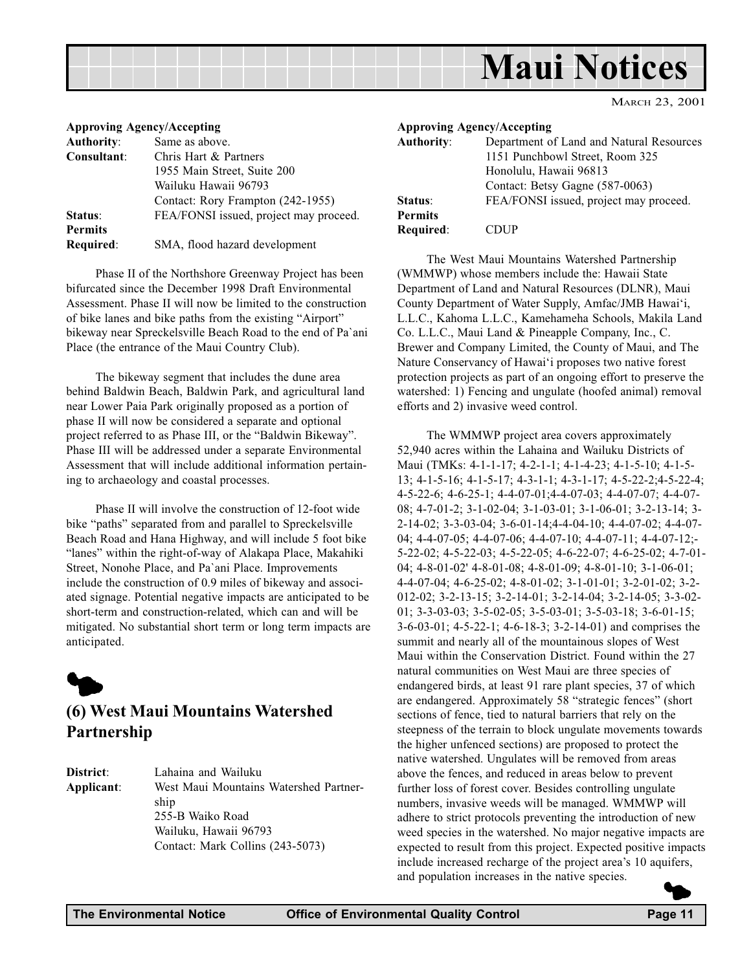<span id="page-10-0"></span>

| <b>Approving Agency/Accepting</b> |                                        |
|-----------------------------------|----------------------------------------|
| <b>Authority:</b>                 | Same as above.                         |
| Consultant:                       | Chris Hart & Partners                  |
|                                   | 1955 Main Street, Suite 200            |
|                                   | Wailuku Hawaii 96793                   |
|                                   | Contact: Rory Frampton (242-1955)      |
| Status:                           | FEA/FONSI issued, project may proceed. |
| <b>Permits</b>                    |                                        |
| Required:                         | SMA, flood hazard development          |

Phase II of the Northshore Greenway Project has been bifurcated since the December 1998 Draft Environmental Assessment. Phase II will now be limited to the construction of bike lanes and bike paths from the existing "Airport" bikeway near Spreckelsville Beach Road to the end of Pa`ani Place (the entrance of the Maui Country Club).

The bikeway segment that includes the dune area behind Baldwin Beach, Baldwin Park, and agricultural land near Lower Paia Park originally proposed as a portion of phase II will now be considered a separate and optional project referred to as Phase III, or the "Baldwin Bikeway". Phase III will be addressed under a separate Environmental Assessment that will include additional information pertaining to archaeology and coastal processes.

Phase II will involve the construction of 12-foot wide bike "paths" separated from and parallel to Spreckelsville Beach Road and Hana Highway, and will include 5 foot bike "lanes" within the right-of-way of Alakapa Place, Makahiki Street, Nonohe Place, and Pa`ani Place. Improvements include the construction of 0.9 miles of bikeway and associated signage. Potential negative impacts are anticipated to be short-term and construction-related, which can and will be mitigated. No substantial short term or long term impacts are anticipated.



### (6) West Maui Mountains Watershed Partnership

District: Lahaina and Wailuku Applicant: West Maui Mountains Watershed Partnership 255-B Waiko Road Wailuku, Hawaii 96793 Contact: Mark Collins (243-5073)

| <b>Approving Agency/Accepting</b> |                                          |
|-----------------------------------|------------------------------------------|
| <b>Authority:</b>                 | Department of Land and Natural Resources |
|                                   | 1151 Punchbowl Street, Room 325          |
|                                   | Honolulu, Hawaii 96813                   |
|                                   | Contact: Betsy Gagne (587-0063)          |
| Status:                           | FEA/FONSI issued, project may proceed.   |
| <b>Permits</b>                    |                                          |
| Required:                         | DHP                                      |

The West Maui Mountains Watershed Partnership (WMMWP) whose members include the: Hawaii State Department of Land and Natural Resources (DLNR), Maui County Department of Water Supply, Amfac/JMB Hawai'i, L.L.C., Kahoma L.L.C., Kamehameha Schools, Makila Land Co. L.L.C., Maui Land & Pineapple Company, Inc., C. Brewer and Company Limited, the County of Maui, and The Nature Conservancy of Hawai'i proposes two native forest protection projects as part of an ongoing effort to preserve the watershed: 1) Fencing and ungulate (hoofed animal) removal efforts and 2) invasive weed control.

The WMMWP project area covers approximately 52,940 acres within the Lahaina and Wailuku Districts of Maui (TMKs: 4-1-1-17; 4-2-1-1; 4-1-4-23; 4-1-5-10; 4-1-5- 13; 4-1-5-16; 4-1-5-17; 4-3-1-1; 4-3-1-17; 4-5-22-2;4-5-22-4; 4-5-22-6; 4-6-25-1; 4-4-07-01;4-4-07-03; 4-4-07-07; 4-4-07- 08; 4-7-01-2; 3-1-02-04; 3-1-03-01; 3-1-06-01; 3-2-13-14; 3- 2-14-02; 3-3-03-04; 3-6-01-14;4-4-04-10; 4-4-07-02; 4-4-07- 04; 4-4-07-05; 4-4-07-06; 4-4-07-10; 4-4-07-11; 4-4-07-12;- 5-22-02; 4-5-22-03; 4-5-22-05; 4-6-22-07; 4-6-25-02; 4-7-01- 04; 4-8-01-02' 4-8-01-08; 4-8-01-09; 4-8-01-10; 3-1-06-01; 4-4-07-04; 4-6-25-02; 4-8-01-02; 3-1-01-01; 3-2-01-02; 3-2- 012-02; 3-2-13-15; 3-2-14-01; 3-2-14-04; 3-2-14-05; 3-3-02- 01; 3-3-03-03; 3-5-02-05; 3-5-03-01; 3-5-03-18; 3-6-01-15; 3-6-03-01; 4-5-22-1; 4-6-18-3; 3-2-14-01) and comprises the summit and nearly all of the mountainous slopes of West Maui within the Conservation District. Found within the 27 natural communities on West Maui are three species of endangered birds, at least 91 rare plant species, 37 of which are endangered. Approximately 58 "strategic fences" (short sections of fence, tied to natural barriers that rely on the steepness of the terrain to block ungulate movements towards the higher unfenced sections) are proposed to protect the native watershed. Ungulates will be removed from areas above the fences, and reduced in areas below to prevent further loss of forest cover. Besides controlling ungulate numbers, invasive weeds will be managed. WMMWP will adhere to strict protocols preventing the introduction of new weed species in the watershed. No major negative impacts are expected to result from this project. Expected positive impacts include increased recharge of the project area's 10 aquifers, and population increases in the native species.  $\blacktriangleright$ 

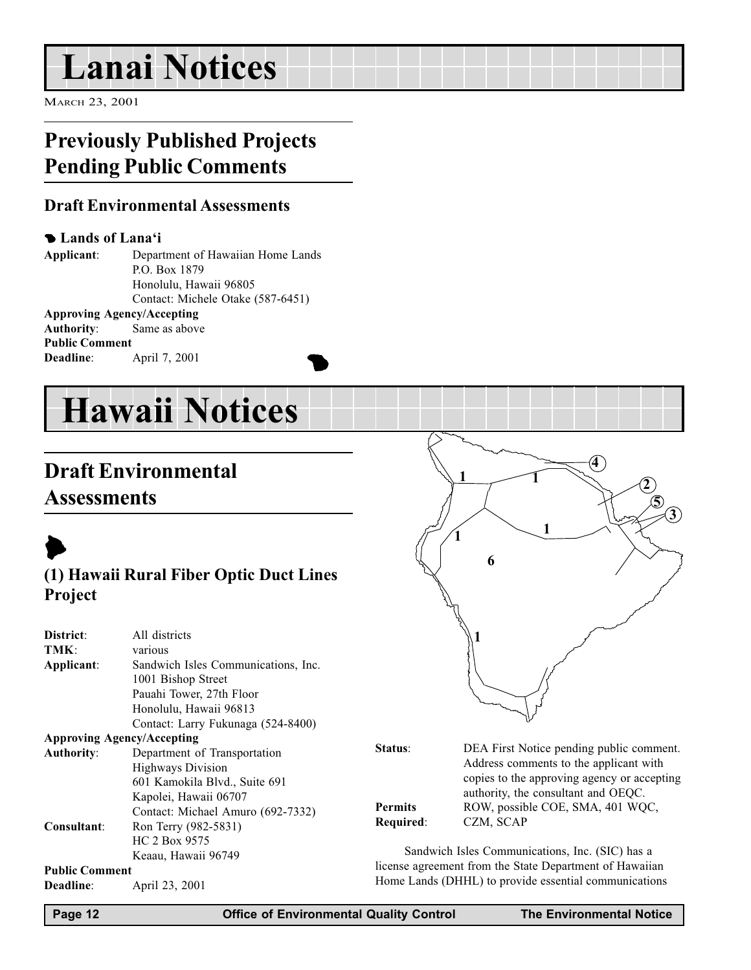# <span id="page-11-0"></span>Lanai Notices

MARCH 23, 2001

# Previously Published Projects Pending Public Comments

### Draft Environmental Assessments

#### **Lands of Lana'i**

Applicant: Department of Hawaiian Home Lands P.O. Box 1879 Honolulu, Hawaii 96805 Contact: Michele Otake (587-6451) Approving Agency/Accepting

Authority: Same as above Public Comment April 7, 2001



# Draft Environmental **Assessments**



## (1) Hawaii Rural Fiber Optic Duct Lines Project

| District:                         | All districts                       |  |
|-----------------------------------|-------------------------------------|--|
|                                   |                                     |  |
| TMK:                              | various                             |  |
| Applicant:                        | Sandwich Isles Communications, Inc. |  |
|                                   | 1001 Bishop Street                  |  |
|                                   | Pauahi Tower, 27th Floor            |  |
|                                   | Honolulu, Hawaii 96813              |  |
|                                   | Contact: Larry Fukunaga (524-8400)  |  |
| <b>Approving Agency/Accepting</b> |                                     |  |
| <b>Authority:</b>                 | Department of Transportation        |  |
|                                   | <b>Highways Division</b>            |  |
|                                   | 601 Kamokila Blvd., Suite 691       |  |
|                                   | Kapolei, Hawaii 06707               |  |
|                                   | Contact: Michael Amuro (692-7332)   |  |
| Consultant:                       | Ron Terry (982-5831)                |  |
|                                   | HC 2 Box 9575                       |  |
|                                   | Keaau, Hawaii 96749                 |  |
| <b>Public Comment</b>             |                                     |  |
| Deadline:                         | April 23, 2001                      |  |



| <b>Status:</b> | DEA First Notice pending public comment.    |
|----------------|---------------------------------------------|
|                | Address comments to the applicant with      |
|                | copies to the approving agency or accepting |
|                | authority, the consultant and OEQC.         |
| Permits        | ROW, possible COE, SMA, 401 WQC,            |
| Required:      | CZM, SCAP                                   |

Sandwich Isles Communications, Inc. (SIC) has a license agreement from the State Department of Hawaiian Home Lands (DHHL) to provide essential communications

Page 12 Office of Environmental Quality Control The Environmental Notice

**1**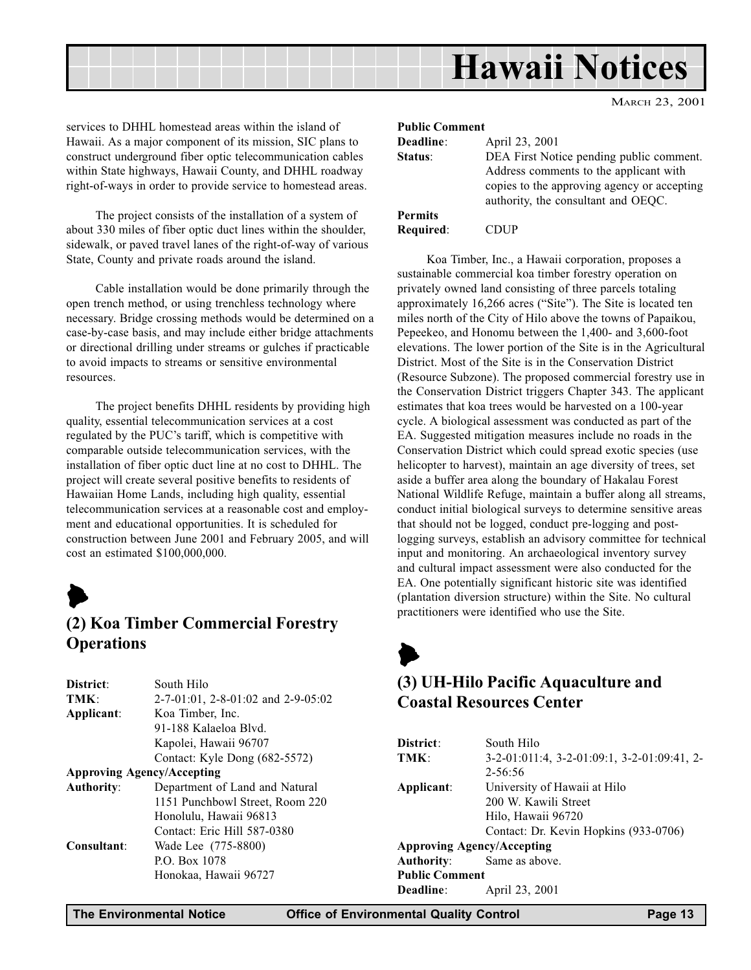

<span id="page-12-0"></span>services to DHHL homestead areas within the island of Hawaii. As a major component of its mission, SIC plans to construct underground fiber optic telecommunication cables within State highways, Hawaii County, and DHHL roadway right-of-ways in order to provide service to homestead areas.

The project consists of the installation of a system of about 330 miles of fiber optic duct lines within the shoulder, sidewalk, or paved travel lanes of the right-of-way of various State, County and private roads around the island.

Cable installation would be done primarily through the open trench method, or using trenchless technology where necessary. Bridge crossing methods would be determined on a case-by-case basis, and may include either bridge attachments or directional drilling under streams or gulches if practicable to avoid impacts to streams or sensitive environmental resources.

The project benefits DHHL residents by providing high quality, essential telecommunication services at a cost regulated by the PUC's tariff, which is competitive with comparable outside telecommunication services, with the installation of fiber optic duct line at no cost to DHHL. The project will create several positive benefits to residents of Hawaiian Home Lands, including high quality, essential telecommunication services at a reasonable cost and employment and educational opportunities. It is scheduled for construction between June 2001 and February 2005, and will cost an estimated \$100,000,000.



## (2) Koa Timber Commercial Forestry **Operations**

| District:                         | South Hilo                                |
|-----------------------------------|-------------------------------------------|
| TMK:                              | $2-7-01:01$ , $2-8-01:02$ and $2-9-05:02$ |
| Applicant:                        | Koa Timber, Inc.                          |
|                                   | 91-188 Kalaeloa Blyd.                     |
|                                   | Kapolei, Hawaii 96707                     |
|                                   | Contact: Kyle Dong (682-5572)             |
| <b>Approving Agency/Accepting</b> |                                           |
| <b>Authority:</b>                 | Department of Land and Natural            |
|                                   | 1151 Punchbowl Street, Room 220           |
|                                   | Honolulu, Hawaii 96813                    |
|                                   | Contact: Eric Hill 587-0380               |
| Consultant:                       | Wade Lee (775-8800)                       |
|                                   | P.O. Box 1078                             |
|                                   | Honokaa, Hawaii 96727                     |
|                                   |                                           |

#### Public Comment

| Deadline:      | April 23, 2001                                                                                                                    |
|----------------|-----------------------------------------------------------------------------------------------------------------------------------|
| Status:        | DEA First Notice pending public comment.<br>Address comments to the applicant with<br>copies to the approving agency or accepting |
|                | authority, the consultant and OEQC.                                                                                               |
| <b>Permits</b> |                                                                                                                                   |
| Required:      | <b>CDUP</b>                                                                                                                       |

Koa Timber, Inc., a Hawaii corporation, proposes a sustainable commercial koa timber forestry operation on privately owned land consisting of three parcels totaling approximately  $16,266$  acres ("Site"). The Site is located ten miles north of the City of Hilo above the towns of Papaikou, Pepeekeo, and Honomu between the 1,400- and 3,600-foot elevations. The lower portion of the Site is in the Agricultural District. Most of the Site is in the Conservation District (Resource Subzone). The proposed commercial forestry use in the Conservation District triggers Chapter 343. The applicant estimates that koa trees would be harvested on a 100-year cycle. A biological assessment was conducted as part of the EA. Suggested mitigation measures include no roads in the Conservation District which could spread exotic species (use helicopter to harvest), maintain an age diversity of trees, set aside a buffer area along the boundary of Hakalau Forest National Wildlife Refuge, maintain a buffer along all streams, conduct initial biological surveys to determine sensitive areas that should not be logged, conduct pre-logging and postlogging surveys, establish an advisory committee for technical input and monitoring. An archaeological inventory survey and cultural impact assessment were also conducted for the EA. One potentially significant historic site was identified (plantation diversion structure) within the Site. No cultural practitioners were identified who use the Site.

# $\blacktriangleright$ (3) UH-Hilo Pacific Aquaculture and Coastal Resources Center

| South Hilo                                  |
|---------------------------------------------|
| 3-2-01:011:4, 3-2-01:09:1, 3-2-01:09:41, 2- |
| $2 - 56:56$                                 |
| University of Hawaii at Hilo                |
| 200 W. Kawili Street                        |
| Hilo, Hawaii 96720                          |
| Contact: Dr. Kevin Hopkins (933-0706)       |
| <b>Approving Agency/Accepting</b>           |
| Same as above.                              |
| <b>Public Comment</b>                       |
| April 23, 2001                              |
|                                             |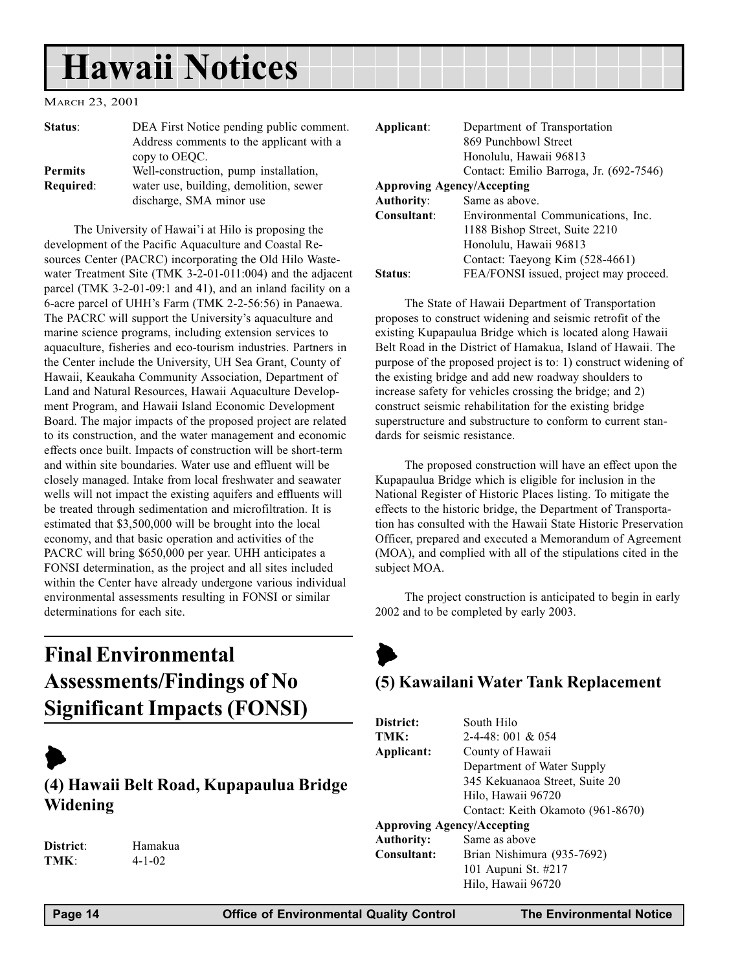# <span id="page-13-0"></span>Hawaii Notices

#### MARCH 23, 2001

| Status:        | DEA First Notice pending public comment.<br>Address comments to the applicant with a<br>copy to OEQC. |
|----------------|-------------------------------------------------------------------------------------------------------|
| <b>Permits</b> | Well-construction, pump installation,                                                                 |
| Required:      | water use, building, demolition, sewer<br>discharge, SMA minor use                                    |

The University of Hawai'i at Hilo is proposing the development of the Pacific Aquaculture and Coastal Resources Center (PACRC) incorporating the Old Hilo Wastewater Treatment Site (TMK 3-2-01-011:004) and the adjacent parcel (TMK 3-2-01-09:1 and 41), and an inland facility on a 6-acre parcel of UHH's Farm (TMK 2-2-56:56) in Panaewa. The PACRC will support the University's aquaculture and marine science programs, including extension services to aquaculture, fisheries and eco-tourism industries. Partners in the Center include the University, UH Sea Grant, County of Hawaii, Keaukaha Community Association, Department of Land and Natural Resources, Hawaii Aquaculture Development Program, and Hawaii Island Economic Development Board. The major impacts of the proposed project are related to its construction, and the water management and economic effects once built. Impacts of construction will be short-term and within site boundaries. Water use and effluent will be closely managed. Intake from local freshwater and seawater wells will not impact the existing aquifers and effluents will be treated through sedimentation and microfiltration. It is estimated that \$3,500,000 will be brought into the local economy, and that basic operation and activities of the PACRC will bring \$650,000 per year. UHH anticipates a FONSI determination, as the project and all sites included within the Center have already undergone various individual environmental assessments resulting in FONSI or similar determinations for each site.

# Final Environmental Assessments/Findings of No Significant Impacts (FONSI)

# $\blacktriangleright$

(4) Hawaii Belt Road, Kupapaulua Bridge Widening

District: Hamakua TMK: 4-1-02

| Applicant:          | Department of Transportation            |
|---------------------|-----------------------------------------|
|                     | 869 Punchbowl Street                    |
|                     | Honolulu, Hawaii 96813                  |
|                     | Contact: Emilio Barroga, Jr. (692-7546) |
|                     | <b>Approving Agency/Accepting</b>       |
| <b>Authority:</b>   | Same as above.                          |
| Consultant:         | Environmental Communications, Inc.      |
|                     | 1188 Bishop Street, Suite 2210          |
|                     | Honolulu, Hawaii 96813                  |
|                     | Contact: Taeyong Kim (528-4661)         |
| Status <sup>.</sup> | FEA/FONSI issued, project may proceed.  |
|                     |                                         |

The State of Hawaii Department of Transportation proposes to construct widening and seismic retrofit of the existing Kupapaulua Bridge which is located along Hawaii Belt Road in the District of Hamakua, Island of Hawaii. The purpose of the proposed project is to: 1) construct widening of the existing bridge and add new roadway shoulders to increase safety for vehicles crossing the bridge; and 2) construct seismic rehabilitation for the existing bridge superstructure and substructure to conform to current standards for seismic resistance.

The proposed construction will have an effect upon the Kupapaulua Bridge which is eligible for inclusion in the National Register of Historic Places listing. To mitigate the effects to the historic bridge, the Department of Transportation has consulted with the Hawaii State Historic Preservation Officer, prepared and executed a Memorandum of Agreement (MOA), and complied with all of the stipulations cited in the subject MOA.

The project construction is anticipated to begin in early 2002 and to be completed by early 2003.

# $\blacktriangleright$ (5) Kawailani Water Tank Replacement

| District:                         | South Hilo                        |
|-----------------------------------|-----------------------------------|
| TMK:                              | $2-4-48:001 & 0.054$              |
| Applicant:                        | County of Hawaii                  |
|                                   | Department of Water Supply        |
|                                   | 345 Kekuanaoa Street, Suite 20    |
|                                   | Hilo, Hawaii 96720                |
|                                   | Contact: Keith Okamoto (961-8670) |
| <b>Approving Agency/Accepting</b> |                                   |
| <b>Authority:</b>                 | Same as above                     |
| Consultant:                       | Brian Nishimura (935-7692)        |
|                                   | 101 Aupuni St. #217               |
|                                   | Hilo, Hawaii 96720                |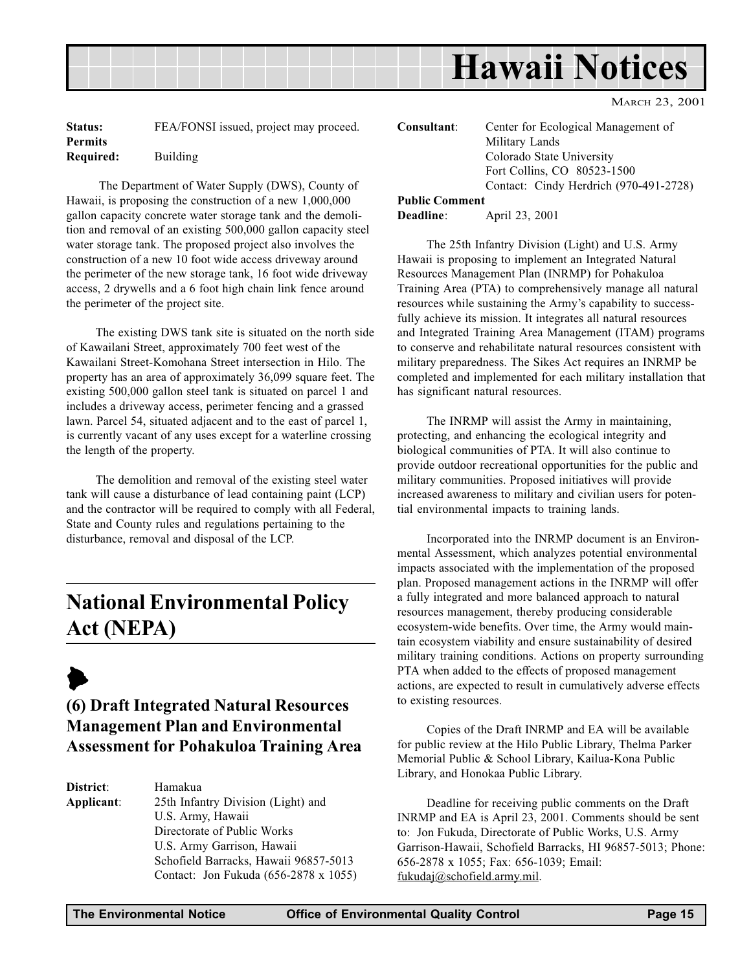<span id="page-14-0"></span>

| Status:        | FEA/FONSI issued, project may proceed. |
|----------------|----------------------------------------|
| <b>Permits</b> |                                        |
| Required:      | Building                               |

 The Department of Water Supply (DWS), County of Hawaii, is proposing the construction of a new 1,000,000 gallon capacity concrete water storage tank and the demolition and removal of an existing 500,000 gallon capacity steel water storage tank. The proposed project also involves the construction of a new 10 foot wide access driveway around the perimeter of the new storage tank, 16 foot wide driveway access, 2 drywells and a 6 foot high chain link fence around the perimeter of the project site.

The existing DWS tank site is situated on the north side of Kawailani Street, approximately 700 feet west of the Kawailani Street-Komohana Street intersection in Hilo. The property has an area of approximately 36,099 square feet. The existing 500,000 gallon steel tank is situated on parcel 1 and includes a driveway access, perimeter fencing and a grassed lawn. Parcel 54, situated adjacent and to the east of parcel 1, is currently vacant of any uses except for a waterline crossing the length of the property.

The demolition and removal of the existing steel water tank will cause a disturbance of lead containing paint (LCP) and the contractor will be required to comply with all Federal, State and County rules and regulations pertaining to the disturbance, removal and disposal of the LCP.

# National Environmental Policy Act (NEPA)

# $\blacktriangleright$

## (6) Draft Integrated Natural Resources Management Plan and Environmental Assessment for Pohakuloa Training Area

District: Hamakua Applicant: 25th Infantry Division (Light) and U.S. Army, Hawaii Directorate of Public Works U.S. Army Garrison, Hawaii Schofield Barracks, Hawaii 96857-5013 Contact: Jon Fukuda (656-2878 x 1055) Consultant: Center for Ecological Management of Military Lands Colorado State University Fort Collins, CO 80523-1500 Contact: Cindy Herdrich (970-491-2728)

## Public Comment

Deadline: April 23, 2001

The 25th Infantry Division (Light) and U.S. Army Hawaii is proposing to implement an Integrated Natural Resources Management Plan (INRMP) for Pohakuloa Training Area (PTA) to comprehensively manage all natural resources while sustaining the Army's capability to successfully achieve its mission. It integrates all natural resources and Integrated Training Area Management (ITAM) programs to conserve and rehabilitate natural resources consistent with military preparedness. The Sikes Act requires an INRMP be completed and implemented for each military installation that has significant natural resources.

The INRMP will assist the Army in maintaining, protecting, and enhancing the ecological integrity and biological communities of PTA. It will also continue to provide outdoor recreational opportunities for the public and military communities. Proposed initiatives will provide increased awareness to military and civilian users for potential environmental impacts to training lands.

Incorporated into the INRMP document is an Environmental Assessment, which analyzes potential environmental impacts associated with the implementation of the proposed plan. Proposed management actions in the INRMP will offer a fully integrated and more balanced approach to natural resources management, thereby producing considerable ecosystem-wide benefits. Over time, the Army would maintain ecosystem viability and ensure sustainability of desired military training conditions. Actions on property surrounding PTA when added to the effects of proposed management actions, are expected to result in cumulatively adverse effects to existing resources.

Copies of the Draft INRMP and EA will be available for public review at the Hilo Public Library, Thelma Parker Memorial Public & School Library, Kailua-Kona Public Library, and Honokaa Public Library.

Deadline for receiving public comments on the Draft INRMP and EA is April 23, 2001. Comments should be sent to: Jon Fukuda, Directorate of Public Works, U.S. Army Garrison-Hawaii, Schofield Barracks, HI 96857-5013; Phone: 656-2878 x 1055; Fax: 656-1039; Email: fukudaj@schofield.army.mil.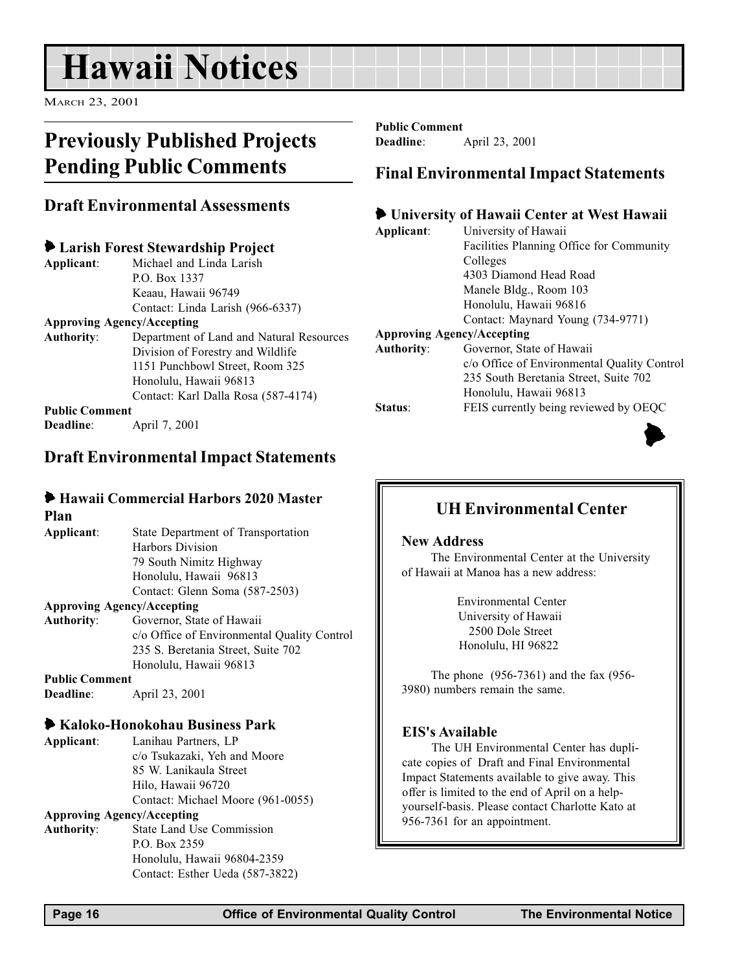# <span id="page-15-0"></span>Hawaii Notices

MARCH 23, 2001

# Previously Published Projects Pending Public Comments

### Draft Environmental Assessments

### 6 Larish Forest Stewardship Project

Applicant: Michael and Linda Larish P.O. Box 1337 Keaau, Hawaii 96749 Contact: Linda Larish (966-6337)

#### Approving Agency/Accepting

Authority: Department of Land and Natural Resources Division of Forestry and Wildlife 1151 Punchbowl Street, Room 325 Honolulu, Hawaii 96813 Contact: Karl Dalla Rosa (587-4174) Public Comment

Deadline: April 7, 2001

## Draft Environmental Impact Statements

# 6 Hawaii Commercial Harbors 2020 Master

Plan

Applicant: State Department of Transportation Harbors Division 79 South Nimitz Highway Honolulu, Hawaii 96813 Contact: Glenn Soma (587-2503)

#### Approving Agency/Accepting

Authority: Governor, State of Hawaii c/o Office of Environmental Quality Control 235 S. Beretania Street, Suite 702 Honolulu, Hawaii 96813

Public Comment Deadline: April 23, 2001

### 6 Kaloko-Honokohau Business Park

Applicant: Lanihau Partners, LP c/o Tsukazaki, Yeh and Moore 85 W. Lanikaula Street Hilo, Hawaii 96720 Contact: Michael Moore (961-0055)

#### Approving Agency/Accepting

Authority: State Land Use Commission P.O. Box 2359 Honolulu, Hawaii 96804-2359 Contact: Esther Ueda (587-3822) Public Comment

Deadline: April 23, 2001

### Final Environmental Impact Statements

### 6 University of Hawaii Center at West Hawaii

| Applicant:                        | University of Hawaii                                                                                                                                                                                                                                                                                                               |
|-----------------------------------|------------------------------------------------------------------------------------------------------------------------------------------------------------------------------------------------------------------------------------------------------------------------------------------------------------------------------------|
|                                   | <b>Facilities Planning Office for Community</b>                                                                                                                                                                                                                                                                                    |
|                                   | Colleges                                                                                                                                                                                                                                                                                                                           |
|                                   | 4303 Diamond Head Road                                                                                                                                                                                                                                                                                                             |
|                                   | Manele Bldg., Room 103                                                                                                                                                                                                                                                                                                             |
|                                   | Honolulu, Hawaii 96816                                                                                                                                                                                                                                                                                                             |
|                                   | Contact: Maynard Young (734-9771)                                                                                                                                                                                                                                                                                                  |
| <b>Approving Agency/Accepting</b> |                                                                                                                                                                                                                                                                                                                                    |
| <b>Authority:</b>                 | Governor, State of Hawaii                                                                                                                                                                                                                                                                                                          |
|                                   | c/o Office of Environmental Quality Control                                                                                                                                                                                                                                                                                        |
|                                   | 235 South Beretania Street, Suite 702                                                                                                                                                                                                                                                                                              |
|                                   | $\mathbf{H}$ $\mathbf{H}$ $\mathbf{H}$ $\mathbf{H}$ $\mathbf{H}$ $\mathbf{H}$ $\mathbf{H}$ $\mathbf{H}$ $\mathbf{H}$ $\mathbf{H}$ $\mathbf{H}$ $\mathbf{H}$ $\mathbf{H}$ $\mathbf{H}$ $\mathbf{H}$ $\mathbf{H}$ $\mathbf{H}$ $\mathbf{H}$ $\mathbf{H}$ $\mathbf{H}$ $\mathbf{H}$ $\mathbf{H}$ $\mathbf{H}$ $\mathbf{H}$ $\mathbf{$ |

Honolulu, Hawaii 96813 Status: FEIS currently being reviewed by OEQC



# UH Environmental Center

#### New Address

The Environmental Center at the University of Hawaii at Manoa has a new address:

> Environmental Center University of Hawaii 2500 Dole Street Honolulu, HI 96822

The phone (956-7361) and the fax (956- 3980) numbers remain the same.

#### EIS's Available

The UH Environmental Center has duplicate copies of Draft and Final Environmental Impact Statements available to give away. This offer is limited to the end of April on a helpyourself-basis. Please contact Charlotte Kato at 956-7361 for an appointment.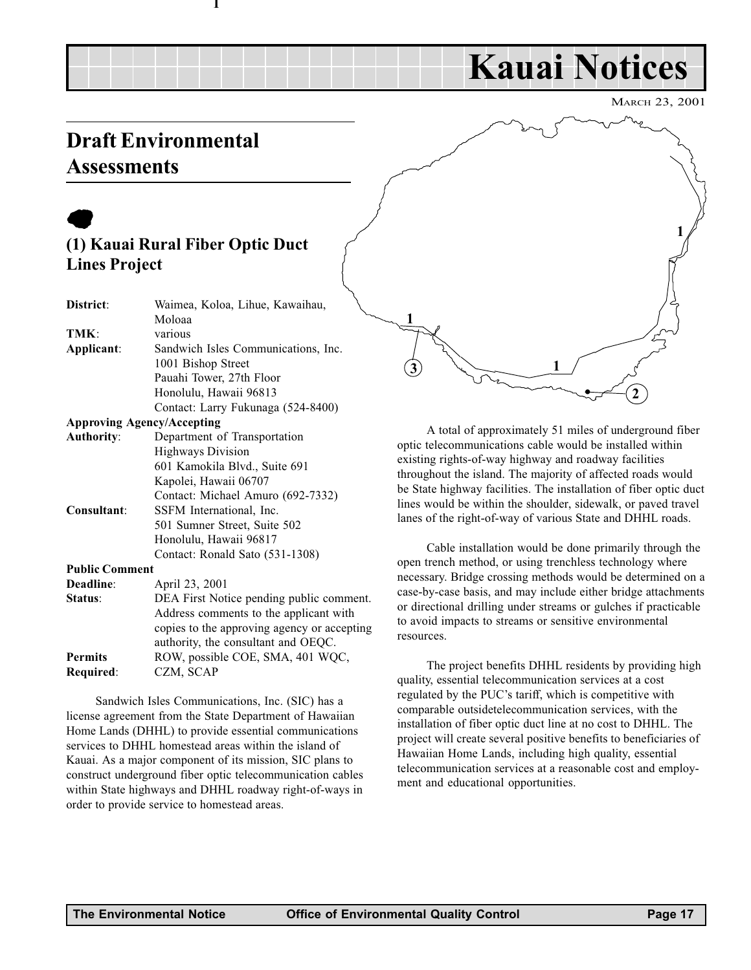# Kauai Notices

MARCH 23, 2001

# <span id="page-16-0"></span>Draft Environmental **Assessments**

# $\bullet$ (1) Kauai Rural Fiber Optic Duct Lines Project

1

| District:             | Waimea, Koloa, Lihue, Kawaihau,             |
|-----------------------|---------------------------------------------|
|                       | Moloaa                                      |
| TMK:                  | various                                     |
| Applicant:            | Sandwich Isles Communications, Inc.         |
|                       | 1001 Bishop Street                          |
|                       | Pauahi Tower, 27th Floor                    |
|                       | Honolulu, Hawaii 96813                      |
|                       | Contact: Larry Fukunaga (524-8400)          |
|                       | <b>Approving Agency/Accepting</b>           |
| <b>Authority:</b>     | Department of Transportation                |
|                       | <b>Highways Division</b>                    |
|                       | 601 Kamokila Blvd., Suite 691               |
|                       | Kapolei, Hawaii 06707                       |
|                       | Contact: Michael Amuro (692-7332)           |
| Consultant:           | SSFM International, Inc.                    |
|                       | 501 Sumner Street, Suite 502                |
|                       | Honolulu, Hawaii 96817                      |
|                       | Contact: Ronald Sato (531-1308)             |
| <b>Public Comment</b> |                                             |
| Deadline:             | April 23, 2001                              |
| Status:               | DEA First Notice pending public comment.    |
|                       | Address comments to the applicant with      |
|                       | copies to the approving agency or accepting |
|                       | authority, the consultant and OEQC.         |
| <b>Permits</b>        | ROW, possible COE, SMA, 401 WQC,            |

Required: CZM, SCAP

Sandwich Isles Communications, Inc. (SIC) has a license agreement from the State Department of Hawaiian Home Lands (DHHL) to provide essential communications services to DHHL homestead areas within the island of Kauai. As a major component of its mission, SIC plans to construct underground fiber optic telecommunication cables within State highways and DHHL roadway right-of-ways in order to provide service to homestead areas.



A total of approximately 51 miles of underground fiber optic telecommunications cable would be installed within existing rights-of-way highway and roadway facilities throughout the island. The majority of affected roads would be State highway facilities. The installation of fiber optic duct lines would be within the shoulder, sidewalk, or paved travel lanes of the right-of-way of various State and DHHL roads.

Cable installation would be done primarily through the open trench method, or using trenchless technology where necessary. Bridge crossing methods would be determined on a case-by-case basis, and may include either bridge attachments or directional drilling under streams or gulches if practicable to avoid impacts to streams or sensitive environmental resources.

The project benefits DHHL residents by providing high quality, essential telecommunication services at a cost regulated by the PUC's tariff, which is competitive with comparable outsidetelecommunication services, with the installation of fiber optic duct line at no cost to DHHL. The project will create several positive benefits to beneficiaries of Hawaiian Home Lands, including high quality, essential telecommunication services at a reasonable cost and employment and educational opportunities.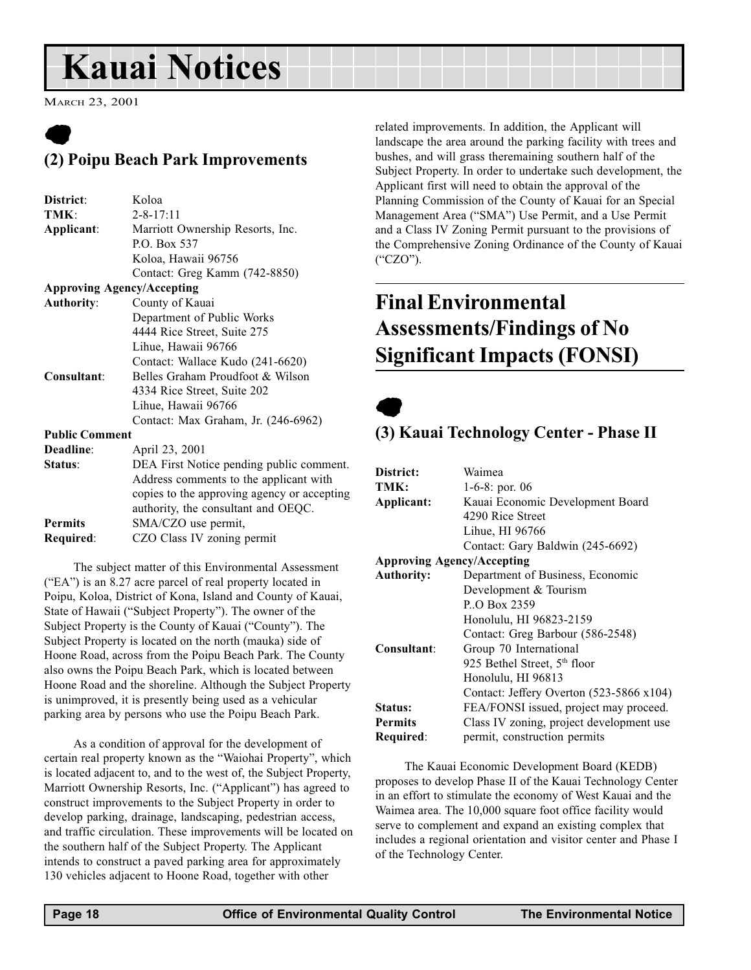# <span id="page-17-0"></span>Kauai Notices

MARCH 23, 2001

# $\bullet$ (2) Poipu Beach Park Improvements

| District:             | Koloa                                       |
|-----------------------|---------------------------------------------|
| TMK:                  | $2 - 8 - 17:11$                             |
| Applicant:            | Marriott Ownership Resorts, Inc.            |
|                       | P.O. Box 537                                |
|                       | Koloa, Hawaii 96756                         |
|                       | Contact: Greg Kamm (742-8850)               |
|                       | <b>Approving Agency/Accepting</b>           |
| <b>Authority:</b>     | County of Kauai                             |
|                       | Department of Public Works                  |
|                       | 4444 Rice Street, Suite 275                 |
|                       | Lihue, Hawaii 96766                         |
|                       | Contact: Wallace Kudo (241-6620)            |
| Consultant:           | Belles Graham Proudfoot & Wilson            |
|                       | 4334 Rice Street, Suite 202                 |
|                       | Lihue, Hawaii 96766                         |
|                       | Contact: Max Graham, Jr. (246-6962)         |
| <b>Public Comment</b> |                                             |
| Deadline:             | April 23, 2001                              |
| Status:               | DEA First Notice pending public comment.    |
|                       | Address comments to the applicant with      |
|                       | copies to the approving agency or accepting |
|                       | authority, the consultant and OEQC.         |
| <b>Permits</b>        | SMA/CZO use permit,                         |
| Required:             | CZO Class IV zoning permit                  |

The subject matter of this Environmental Assessment ("EA") is an  $8.27$  acre parcel of real property located in Poipu, Koloa, District of Kona, Island and County of Kauai, State of Hawaii ("Subject Property"). The owner of the Subject Property is the County of Kauai ("County"). The Subject Property is located on the north (mauka) side of Hoone Road, across from the Poipu Beach Park. The County also owns the Poipu Beach Park, which is located between Hoone Road and the shoreline. Although the Subject Property is unimproved, it is presently being used as a vehicular parking area by persons who use the Poipu Beach Park.

As a condition of approval for the development of certain real property known as the "Waiohai Property", which is located adjacent to, and to the west of, the Subject Property, Marriott Ownership Resorts, Inc. ("Applicant") has agreed to construct improvements to the Subject Property in order to develop parking, drainage, landscaping, pedestrian access, and traffic circulation. These improvements will be located on the southern half of the Subject Property. The Applicant intends to construct a paved parking area for approximately 130 vehicles adjacent to Hoone Road, together with other

related improvements. In addition, the Applicant will landscape the area around the parking facility with trees and bushes, and will grass theremaining southern half of the Subject Property. In order to undertake such development, the Applicant first will need to obtain the approval of the Planning Commission of the County of Kauai for an Special Management Area ("SMA") Use Permit, and a Use Permit and a Class IV Zoning Permit pursuant to the provisions of the Comprehensive Zoning Ordinance of the County of Kauai  $("CZO").$ 

# Final Environmental Assessments/Findings of No Significant Impacts (FONSI)

 $\bullet$ 

## (3) Kauai Technology Center - Phase II

| District:         | Waimea                                   |
|-------------------|------------------------------------------|
| TMK:              | 1-6-8: por. 06                           |
| Applicant:        | Kauai Economic Development Board         |
|                   | 4290 Rice Street                         |
|                   | Lihue, HI 96766                          |
|                   | Contact: Gary Baldwin (245-6692)         |
|                   | <b>Approving Agency/Accepting</b>        |
| <b>Authority:</b> | Department of Business, Economic         |
|                   | Development & Tourism                    |
|                   | P.O Box 2359                             |
|                   | Honolulu, HI 96823-2159                  |
|                   | Contact: Greg Barbour (586-2548)         |
| Consultant:       | Group 70 International                   |
|                   | 925 Bethel Street, 5 <sup>th</sup> floor |
|                   | Honolulu, HI 96813                       |
|                   | Contact: Jeffery Overton (523-5866 x104) |
| Status:           | FEA/FONSI issued, project may proceed.   |
| <b>Permits</b>    | Class IV zoning, project development use |
| Required:         | permit, construction permits             |
|                   |                                          |

The Kauai Economic Development Board (KEDB) proposes to develop Phase II of the Kauai Technology Center in an effort to stimulate the economy of West Kauai and the Waimea area. The 10,000 square foot office facility would serve to complement and expand an existing complex that includes a regional orientation and visitor center and Phase I of the Technology Center.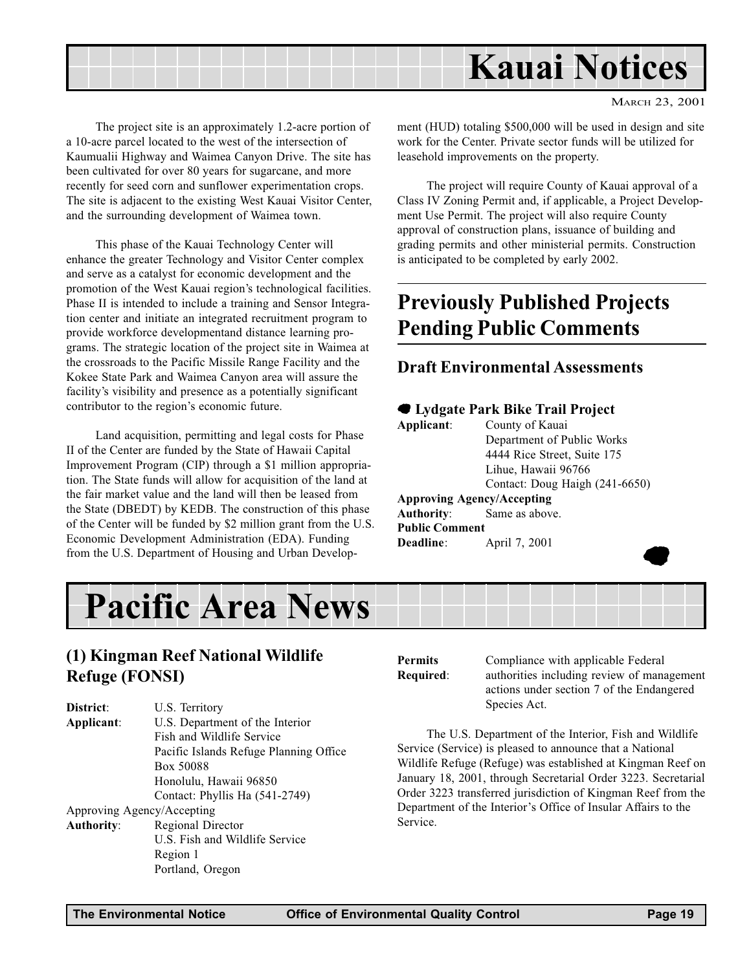

The project site is an approximately 1.2-acre portion of a 10-acre parcel located to the west of the intersection of Kaumualii Highway and Waimea Canyon Drive. The site has been cultivated for over 80 years for sugarcane, and more recently for seed corn and sunflower experimentation crops. The site is adjacent to the existing West Kauai Visitor Center, and the surrounding development of Waimea town.

This phase of the Kauai Technology Center will enhance the greater Technology and Visitor Center complex and serve as a catalyst for economic development and the promotion of the West Kauai region's technological facilities. Phase II is intended to include a training and Sensor Integration center and initiate an integrated recruitment program to provide workforce developmentand distance learning programs. The strategic location of the project site in Waimea at the crossroads to the Pacific Missile Range Facility and the Kokee State Park and Waimea Canyon area will assure the facility's visibility and presence as a potentially significant contributor to the region's economic future.

Land acquisition, permitting and legal costs for Phase II of the Center are funded by the State of Hawaii Capital Improvement Program (CIP) through a \$1 million appropriation. The State funds will allow for acquisition of the land at the fair market value and the land will then be leased from the State (DBEDT) by KEDB. The construction of this phase of the Center will be funded by \$2 million grant from the U.S. Economic Development Administration (EDA). Funding from the U.S. Department of Housing and Urban Development (HUD) totaling \$500,000 will be used in design and site work for the Center. Private sector funds will be utilized for leasehold improvements on the property.

The project will require County of Kauai approval of a Class IV Zoning Permit and, if applicable, a Project Development Use Permit. The project will also require County approval of construction plans, issuance of building and grading permits and other ministerial permits. Construction is anticipated to be completed by early 2002.

# Previously Published Projects Pending Public Comments

### Draft Environmental Assessments

# 7 Lydgate Park Bike Trail Project

| Applicant:            | County of Kauai                   |
|-----------------------|-----------------------------------|
|                       | Department of Public Works        |
|                       | 4444 Rice Street, Suite 175       |
|                       | Lihue, Hawaii 96766               |
|                       | Contact: Doug Haigh (241-6650)    |
|                       | <b>Approving Agency/Accepting</b> |
|                       | <b>Authority:</b> Same as above.  |
| <b>Public Comment</b> |                                   |
| Deadline:             | April 7, 2001                     |
|                       |                                   |
|                       |                                   |



## (1) Kingman Reef National Wildlife Refuge (FONSI)

| District:         | U.S. Territory                         |
|-------------------|----------------------------------------|
| Applicant:        | U.S. Department of the Interior        |
|                   | Fish and Wildlife Service              |
|                   | Pacific Islands Refuge Planning Office |
|                   | Box 50088                              |
|                   | Honolulu, Hawaii 96850                 |
|                   | Contact: Phyllis Ha (541-2749)         |
|                   | Approving Agency/Accepting             |
| <b>Authority:</b> | Regional Director                      |
|                   | U.S. Fish and Wildlife Service         |
|                   | Region 1                               |
|                   | Portland, Oregon                       |

**Permits** Compliance with applicable Federal Required: authorities including review of management actions under section 7 of the Endangered Species Act.

The U.S. Department of the Interior, Fish and Wildlife Service (Service) is pleased to announce that a National Wildlife Refuge (Refuge) was established at Kingman Reef on January 18, 2001, through Secretarial Order 3223. Secretarial Order 3223 transferred jurisdiction of Kingman Reef from the Department of the Interior's Office of Insular Affairs to the Service.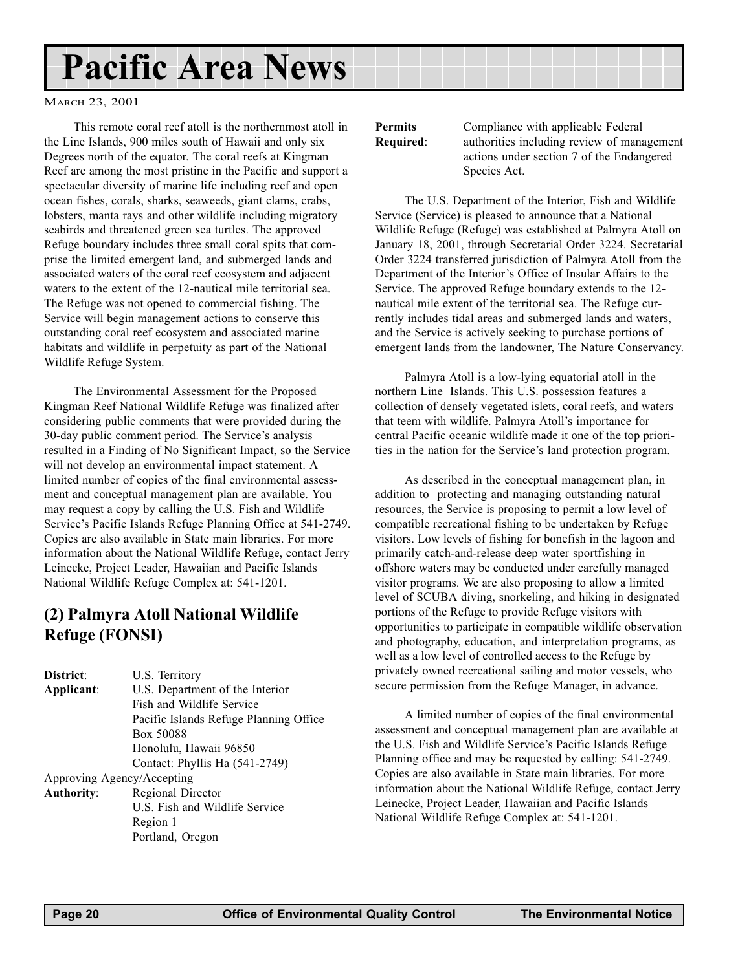# <span id="page-19-0"></span>Pacific Area News

MARCH 23, 2001

This remote coral reef atoll is the northernmost atoll in the Line Islands, 900 miles south of Hawaii and only six Degrees north of the equator. The coral reefs at Kingman Reef are among the most pristine in the Pacific and support a spectacular diversity of marine life including reef and open ocean fishes, corals, sharks, seaweeds, giant clams, crabs, lobsters, manta rays and other wildlife including migratory seabirds and threatened green sea turtles. The approved Refuge boundary includes three small coral spits that comprise the limited emergent land, and submerged lands and associated waters of the coral reef ecosystem and adjacent waters to the extent of the 12-nautical mile territorial sea. The Refuge was not opened to commercial fishing. The Service will begin management actions to conserve this outstanding coral reef ecosystem and associated marine habitats and wildlife in perpetuity as part of the National Wildlife Refuge System.

The Environmental Assessment for the Proposed Kingman Reef National Wildlife Refuge was finalized after considering public comments that were provided during the 30-day public comment period. The Service's analysis resulted in a Finding of No Significant Impact, so the Service will not develop an environmental impact statement. A limited number of copies of the final environmental assessment and conceptual management plan are available. You may request a copy by calling the U.S. Fish and Wildlife Service's Pacific Islands Refuge Planning Office at 541-2749. Copies are also available in State main libraries. For more information about the National Wildlife Refuge, contact Jerry Leinecke, Project Leader, Hawaiian and Pacific Islands National Wildlife Refuge Complex at: 541-1201.

## (2) Palmyra Atoll National Wildlife Refuge (FONSI)

| District:         | U.S. Territory                         |
|-------------------|----------------------------------------|
| Applicant:        | U.S. Department of the Interior        |
|                   | Fish and Wildlife Service              |
|                   | Pacific Islands Refuge Planning Office |
|                   | Box 50088                              |
|                   | Honolulu, Hawaii 96850                 |
|                   | Contact: Phyllis Ha (541-2749)         |
|                   | Approving Agency/Accepting             |
| <b>Authority:</b> | Regional Director                      |
|                   | U.S. Fish and Wildlife Service         |
|                   | Region 1                               |
|                   | Portland, Oregon                       |

Permits Compliance with applicable Federal Required: authorities including review of management actions under section 7 of the Endangered Species Act.

The U.S. Department of the Interior, Fish and Wildlife Service (Service) is pleased to announce that a National Wildlife Refuge (Refuge) was established at Palmyra Atoll on January 18, 2001, through Secretarial Order 3224. Secretarial Order 3224 transferred jurisdiction of Palmyra Atoll from the Department of the Interior's Office of Insular Affairs to the Service. The approved Refuge boundary extends to the 12 nautical mile extent of the territorial sea. The Refuge currently includes tidal areas and submerged lands and waters, and the Service is actively seeking to purchase portions of emergent lands from the landowner, The Nature Conservancy.

Palmyra Atoll is a low-lying equatorial atoll in the northern Line Islands. This U.S. possession features a collection of densely vegetated islets, coral reefs, and waters that teem with wildlife. Palmyra Atoll's importance for central Pacific oceanic wildlife made it one of the top priorities in the nation for the Service's land protection program.

As described in the conceptual management plan, in addition to protecting and managing outstanding natural resources, the Service is proposing to permit a low level of compatible recreational fishing to be undertaken by Refuge visitors. Low levels of fishing for bonefish in the lagoon and primarily catch-and-release deep water sportfishing in offshore waters may be conducted under carefully managed visitor programs. We are also proposing to allow a limited level of SCUBA diving, snorkeling, and hiking in designated portions of the Refuge to provide Refuge visitors with opportunities to participate in compatible wildlife observation and photography, education, and interpretation programs, as well as a low level of controlled access to the Refuge by privately owned recreational sailing and motor vessels, who secure permission from the Refuge Manager, in advance.

A limited number of copies of the final environmental assessment and conceptual management plan are available at the U.S. Fish and Wildlife Service's Pacific Islands Refuge Planning office and may be requested by calling: 541-2749. Copies are also available in State main libraries. For more information about the National Wildlife Refuge, contact Jerry Leinecke, Project Leader, Hawaiian and Pacific Islands National Wildlife Refuge Complex at: 541-1201.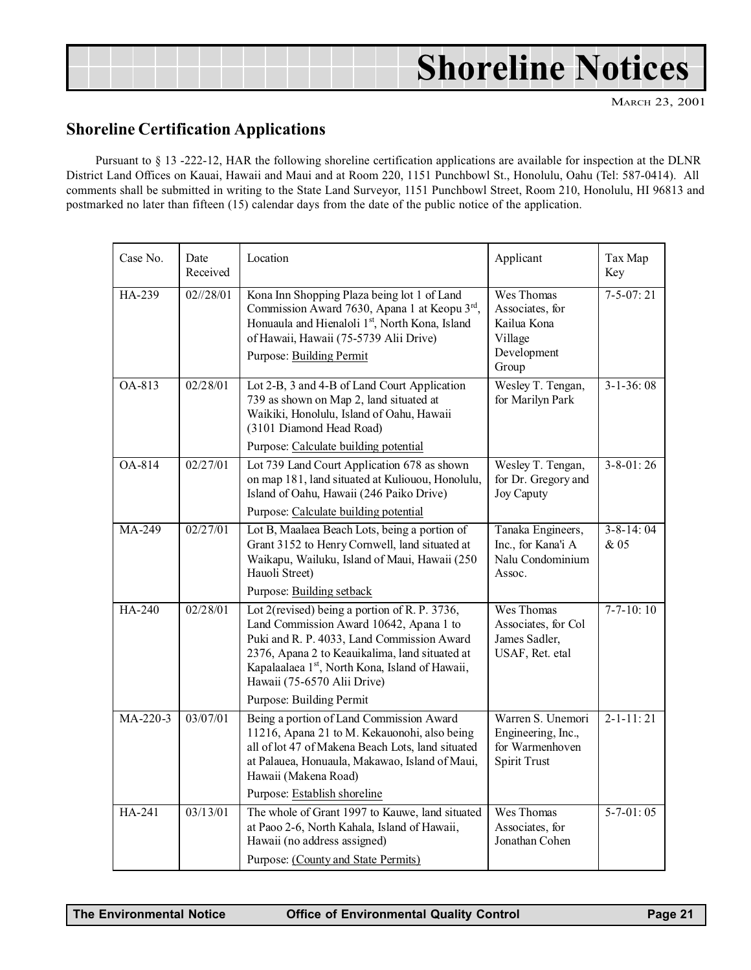|  |  |  | <b>Shoreline Notices</b> |
|--|--|--|--------------------------|
|  |  |  |                          |

### Shoreline Certification Applications

Pursuant to § 13 -222-12, HAR the following shoreline certification applications are available for inspection at the DLNR District Land Offices on Kauai, Hawaii and Maui and at Room 220, 1151 Punchbowl St., Honolulu, Oahu (Tel: 587-0414). All comments shall be submitted in writing to the State Land Surveyor, 1151 Punchbowl Street, Room 210, Honolulu, HI 96813 and postmarked no later than fifteen (15) calendar days from the date of the public notice of the application.

| Case No.            | Date<br>Received   | Location                                                                                                                                                                                                                                                                                                           | Applicant                                                                         | Tax Map<br>Key          |
|---------------------|--------------------|--------------------------------------------------------------------------------------------------------------------------------------------------------------------------------------------------------------------------------------------------------------------------------------------------------------------|-----------------------------------------------------------------------------------|-------------------------|
| HA-239              | $02\frac{1}{28}01$ | Kona Inn Shopping Plaza being lot 1 of Land<br>Commission Award 7630, Apana 1 at Keopu 3rd,<br>Honuaula and Hienaloli 1st, North Kona, Island<br>of Hawaii, Hawaii (75-5739 Alii Drive)<br><b>Purpose: Building Permit</b>                                                                                         | Wes Thomas<br>Associates, for<br>Kailua Kona<br>Village<br>Development<br>Group   | $7 - 5 - 07:21$         |
| OA-813              | 02/28/01           | Lot 2-B, 3 and 4-B of Land Court Application<br>739 as shown on Map 2, land situated at<br>Waikiki, Honolulu, Island of Oahu, Hawaii<br>(3101 Diamond Head Road)                                                                                                                                                   | Wesley T. Tengan,<br>for Marilyn Park                                             | $3 - 1 - 36:08$         |
| OA-814              | 02/27/01           | Purpose: Calculate building potential<br>Lot 739 Land Court Application 678 as shown<br>on map 181, land situated at Kuliouou, Honolulu,<br>Island of Oahu, Hawaii (246 Paiko Drive)<br>Purpose: Calculate building potential                                                                                      | Wesley T. Tengan,<br>for Dr. Gregory and<br>Joy Caputy                            | $3 - 8 - 01$ : 26       |
| $\overline{MA-249}$ | 02/27/01           | Lot B, Maalaea Beach Lots, being a portion of<br>Grant 3152 to Henry Cornwell, land situated at<br>Waikapu, Wailuku, Island of Maui, Hawaii (250<br>Hauoli Street)                                                                                                                                                 | Tanaka Engineers,<br>Inc., for Kana'i A<br>Nalu Condominium<br>Assoc.             | $3 - 8 - 14:04$<br>& 05 |
|                     |                    | Purpose: Building setback                                                                                                                                                                                                                                                                                          |                                                                                   |                         |
| HA-240              | 02/28/01           | Lot 2(revised) being a portion of R. P. 3736,<br>Land Commission Award 10642, Apana 1 to<br>Puki and R. P. 4033, Land Commission Award<br>2376, Apana 2 to Keauikalima, land situated at<br>Kapalaalaea 1 <sup>st</sup> , North Kona, Island of Hawaii,<br>Hawaii (75-6570 Alii Drive)<br>Purpose: Building Permit | Wes Thomas<br>Associates, for Col<br>James Sadler,<br>USAF, Ret. etal             | $7 - 7 - 10$ : 10       |
| MA-220-3            | 03/07/01           | Being a portion of Land Commission Award<br>11216, Apana 21 to M. Kekauonohi, also being<br>all of lot 47 of Makena Beach Lots, land situated<br>at Palauea, Honuaula, Makawao, Island of Maui,<br>Hawaii (Makena Road)<br>Purpose: Establish shoreline                                                            | Warren S. Unemori<br>Engineering, Inc.,<br>for Warmenhoven<br><b>Spirit Trust</b> | $2 - 1 - 11:21$         |
| HA-241              | 03/13/01           | The whole of Grant 1997 to Kauwe, land situated<br>at Paoo 2-6, North Kahala, Island of Hawaii,<br>Hawaii (no address assigned)<br>Purpose: (County and State Permits)                                                                                                                                             | Wes Thomas<br>Associates, for<br>Jonathan Cohen                                   | $5 - 7 - 01:05$         |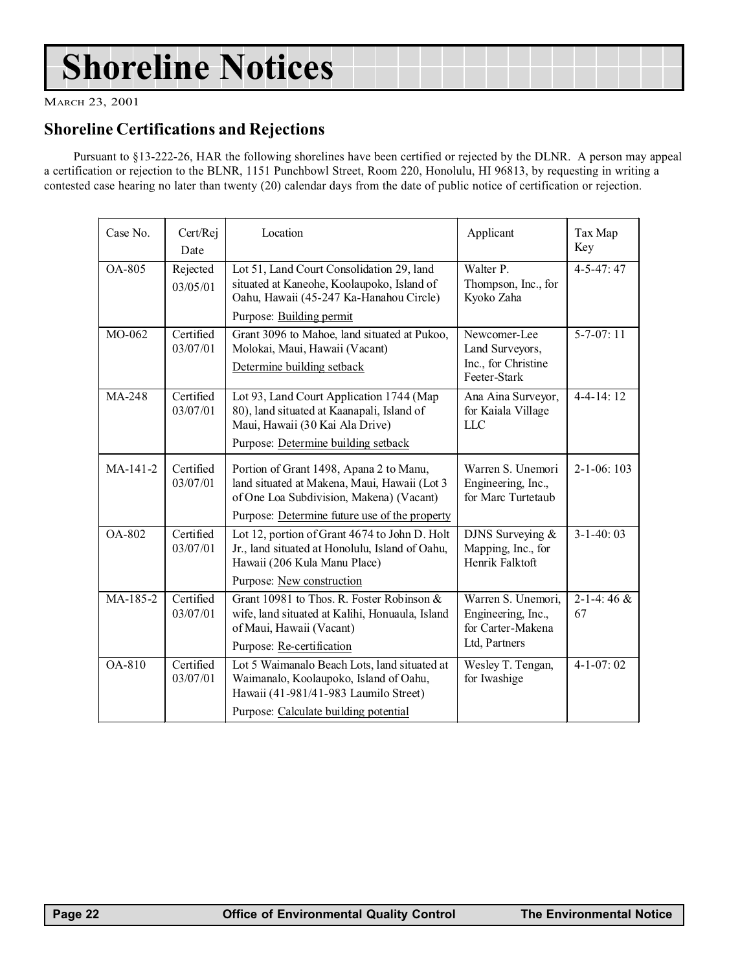# <span id="page-21-0"></span>Shoreline Notices

MARCH 23, 2001

### Shoreline Certifications and Rejections

Pursuant to §13-222-26, HAR the following shorelines have been certified or rejected by the DLNR. A person may appeal a certification or rejection to the BLNR, 1151 Punchbowl Street, Room 220, Honolulu, HI 96813, by requesting in writing a contested case hearing no later than twenty (20) calendar days from the date of public notice of certification or rejection.

| Case No.   | Cert/Rej<br>Date      | Location                                                                                                                                                                             | Applicant                                                                      | Tax Map<br>Key          |
|------------|-----------------------|--------------------------------------------------------------------------------------------------------------------------------------------------------------------------------------|--------------------------------------------------------------------------------|-------------------------|
| OA-805     | Rejected<br>03/05/01  | Lot 51, Land Court Consolidation 29, land<br>situated at Kaneohe, Koolaupoko, Island of<br>Oahu, Hawaii (45-247 Ka-Hanahou Circle)<br>Purpose: Building permit                       | Walter P.<br>Thompson, Inc., for<br>Kyoko Zaha                                 | $4 - 5 - 47:47$         |
| MO-062     | Certified<br>03/07/01 | Grant 3096 to Mahoe, land situated at Pukoo,<br>Molokai, Maui, Hawaii (Vacant)<br>Determine building setback                                                                         | Newcomer-Lee<br>Land Surveyors,<br>Inc., for Christine<br>Feeter-Stark         | $5 - 7 - 07:11$         |
| MA-248     | Certified<br>03/07/01 | Lot 93, Land Court Application 1744 (Map<br>80), land situated at Kaanapali, Island of<br>Maui, Hawaii (30 Kai Ala Drive)<br>Purpose: Determine building setback                     | Ana Aina Surveyor,<br>for Kaiala Village<br><b>LLC</b>                         | $4 - 4 - 14$ : 12       |
| MA-141-2   | Certified<br>03/07/01 | Portion of Grant 1498, Apana 2 to Manu,<br>land situated at Makena, Maui, Hawaii (Lot 3<br>of One Loa Subdivision, Makena) (Vacant)<br>Purpose: Determine future use of the property | Warren S. Unemori<br>Engineering, Inc.,<br>for Marc Turtetaub                  | $2 - 1 - 06$ : 103      |
| OA-802     | Certified<br>03/07/01 | Lot 12, portion of Grant 4674 to John D. Holt<br>Jr., land situated at Honolulu, Island of Oahu,<br>Hawaii (206 Kula Manu Place)<br>Purpose: New construction                        | DJNS Surveying &<br>Mapping, Inc., for<br>Henrik Falktoft                      | $3 - 1 - 40:03$         |
| $MA-185-2$ | Certified<br>03/07/01 | Grant 10981 to Thos. R. Foster Robinson &<br>wife, land situated at Kalihi, Honuaula, Island<br>of Maui, Hawaii (Vacant)<br>Purpose: Re-certification                                | Warren S. Unemori,<br>Engineering, Inc.,<br>for Carter-Makena<br>Ltd, Partners | $2 - 1 - 4:46 \&$<br>67 |
| OA-810     | Certified<br>03/07/01 | Lot 5 Waimanalo Beach Lots, land situated at<br>Waimanalo, Koolaupoko, Island of Oahu,<br>Hawaii (41-981/41-983 Laumilo Street)<br>Purpose: Calculate building potential             | Wesley T. Tengan,<br>for Iwashige                                              | $4 - 1 - 07:02$         |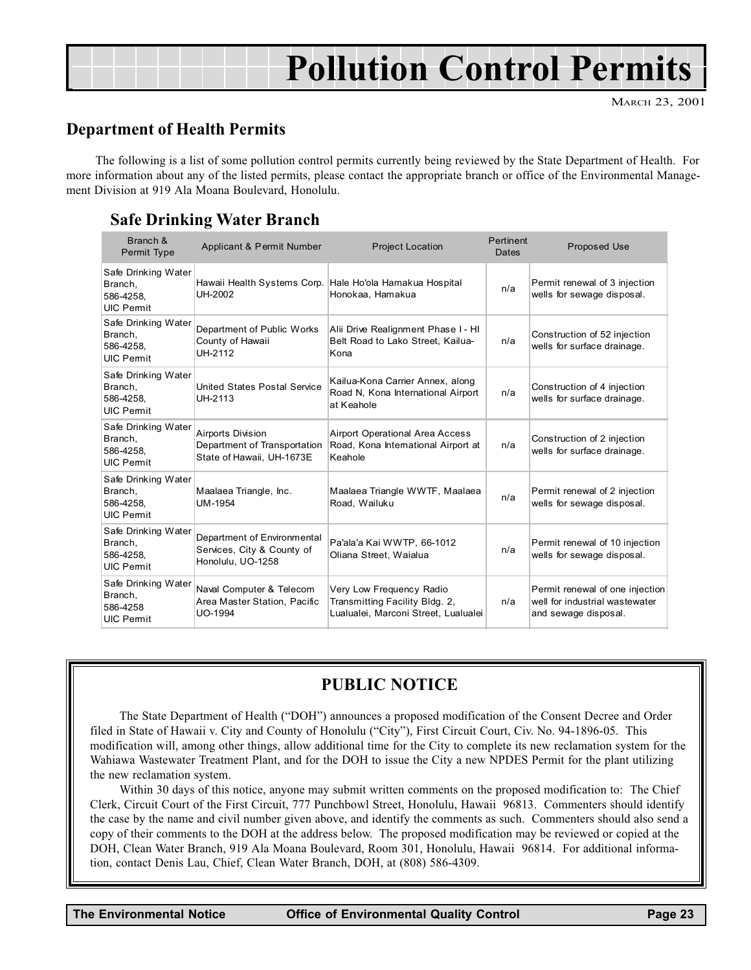# <span id="page-22-0"></span>Pollution Control Permits

### Department of Health Permits

The following is a list of some pollution control permits currently being reviewed by the State Department of Health. For more information about any of the listed permits, please contact the appropriate branch or office of the Environmental Management Division at 919 Ala Moana Boulevard, Honolulu.

### Safe Drinking Water Branch

| Branch &<br>Permit Type                                         | Applicant & Permit Number                                                             | <b>Project Location</b>                                                                            | Pertinent<br>Dates | <b>Proposed Use</b>                                                                       |
|-----------------------------------------------------------------|---------------------------------------------------------------------------------------|----------------------------------------------------------------------------------------------------|--------------------|-------------------------------------------------------------------------------------------|
| Safe Drinking Water<br>Branch,<br>586-4258.<br><b>UIC Pemit</b> | UH-2002                                                                               | Hawaii Health Systems Corp. Hale Ho'ola Hamakua Hospital<br>Honokaa, Hamakua                       | n/a                | Permit renewal of 3 injection<br>wells for sewage disposal.                               |
| Safe Drinking Water<br>Branch,<br>586-4258,<br><b>UIC Pemit</b> | Department of Public Works<br>County of Hawaii<br>UH-2112                             | Alii Drive Realignment Phase I - HI<br>Belt Road to Lako Street, Kailua-<br>Kona                   | n/a                | Construction of 52 injection<br>wells for surface drainage.                               |
| Safe Drinking Water<br>Branch,<br>586-4258.<br><b>UIC Pemit</b> | United States Postal Service<br>UH-2113                                               | Kailua-Kona Carrier Annex, along<br>Road N, Kona International Airport<br>at Keahole               | n/a                | Construction of 4 injection<br>wells for surface drainage.                                |
| Safe Drinking Water<br>Branch,<br>586-4258,<br><b>UIC Pemit</b> | <b>Airports Division</b><br>Department of Transportation<br>State of Hawaii, UH-1673E | <b>Airport Operational Area Access</b><br>Road, Kona International Airport at<br>Keahole           | n/a                | Construction of 2 injection<br>wells for surface drainage.                                |
| Safe Drinking Water<br>Branch,<br>586-4258,<br><b>UIC Pemit</b> | Maalaea Triangle, Inc.<br>UM-1954                                                     | Maalaea Triangle WWTF, Maalaea<br>Road, Wailuku                                                    | n/a                | Permit renewal of 2 injection<br>wells for sewage disposal.                               |
| Safe Drinking Water<br>Branch,<br>586-4258,<br><b>UIC Pemit</b> | Department of Environmental<br>Services, City & County of<br>Honolulu, UO-1258        | Pa'ala'a Kai WWTP, 66-1012<br>Oliana Street, Waialua                                               | n/a                | Permit renewal of 10 injection<br>wells for sewage disposal.                              |
| Safe Drinking Water<br>Branch,<br>586-4258<br><b>UIC Pemit</b>  | Naval Computer & Telecom<br>Area Master Station, Pacific<br>UO-1994                   | Very Low Frequency Radio<br>Transmitting Facility Bldg. 2,<br>Lualualei, Marconi Street, Lualualei | n/a                | Permit renewal of one injection<br>well for industrial wastewater<br>and sewage disposal. |

### PUBLIC NOTICE

The State Department of Health ("DOH") announces a proposed modification of the Consent Decree and Order filed in State of Hawaii v. City and County of Honolulu ("City"), First Circuit Court, Civ. No. 94-1896-05. This modification will, among other things, allow additional time for the City to complete its new reclamation system for the Wahiawa Wastewater Treatment Plant, and for the DOH to issue the City a new NPDES Permit for the plant utilizing the new reclamation system.

Within 30 days of this notice, anyone may submit written comments on the proposed modification to: The Chief Clerk, Circuit Court of the First Circuit, 777 Punchbowl Street, Honolulu, Hawaii 96813. Commenters should identify the case by the name and civil number given above, and identify the comments as such. Commenters should also send a copy of their comments to the DOH at the address below. The proposed modification may be reviewed or copied at the DOH, Clean Water Branch, 919 Ala Moana Boulevard, Room 301, Honolulu, Hawaii 96814. For additional information, contact Denis Lau, Chief, Clean Water Branch, DOH, at (808) 586-4309.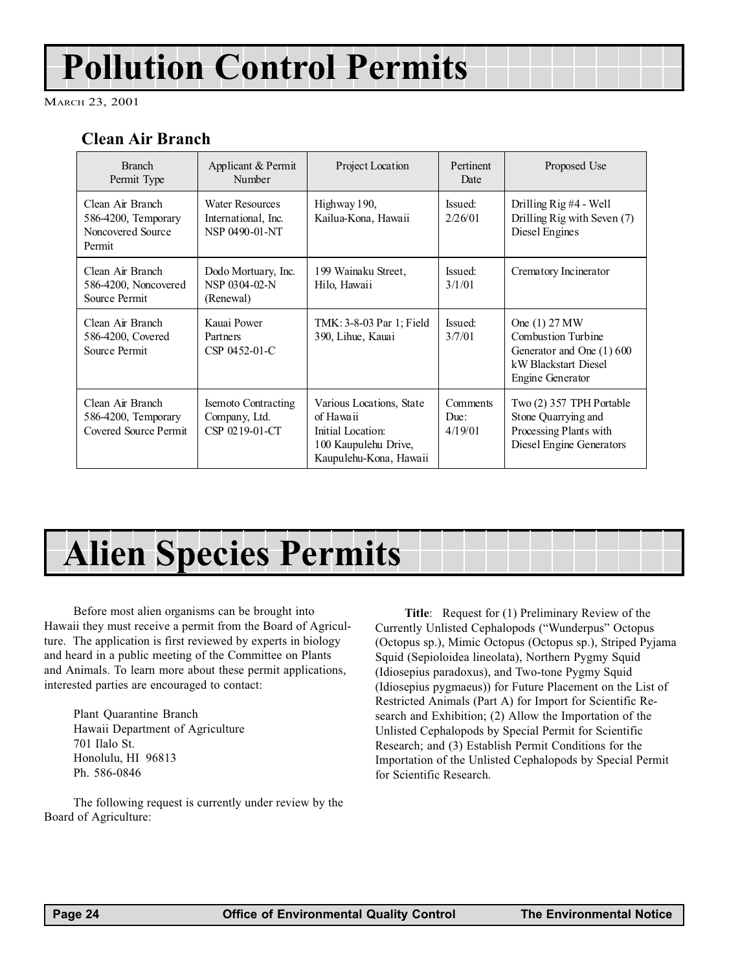# Pollution Control Permits

MARCH 23, 2001

## Clean Air Branch

| <b>Branch</b><br>Permit Type                                           | Applicant & Permit<br>Number                                  | Project Location                                                                                             | Pertinent<br>Date           | Proposed Use                                                                                                        |
|------------------------------------------------------------------------|---------------------------------------------------------------|--------------------------------------------------------------------------------------------------------------|-----------------------------|---------------------------------------------------------------------------------------------------------------------|
| Clean Air Branch<br>586-4200, Temporary<br>Noncovered Source<br>Permit | Water Resources<br>International, Inc.<br>NSP 0490-01-NT      | Highway 190,<br>Kailua-Kona, Hawaii                                                                          | Issued:<br>2/26/01          | Drilling $\operatorname{Rig}$ #4 - Well<br>Drilling Rig with Seven (7)<br>Diesel Engines                            |
| Clean Air Branch<br>586-4200, Noncovered<br>Source Permit              | Dodo Mortuary, Inc.<br>NSP 0304-02-N<br>(Renewal)             | 199 Wainaku Street,<br>Hilo, Hawaii                                                                          | Issued:<br>3/1/01           | Crematory Incinerator                                                                                               |
| Clean Air Branch<br>586-4200, Covered<br>Source Permit                 | Kauai Power<br>Partners<br>CSP 0452-01-C                      | TMK: 3-8-03 Par 1; Field<br>390, Lihue, Kauai                                                                | Issued:<br>3/7/01           | One (1) 27 MW<br>Combustion Turbine<br>Generator and One (1) 600<br>kW Blackstart Diesel<br><b>Engine Generator</b> |
| Clean Air Branch<br>586-4200, Temporary<br>Covered Source Permit       | <b>Isemoto Contracting</b><br>Company, Ltd.<br>CSP 0219-01-CT | Various Locations, State<br>of Hawaii<br>Initial Location:<br>100 Kaupulehu Drive,<br>Kaupulehu-Kona, Hawaii | Comments<br>Due:<br>4/19/01 | Two (2) 357 TPH Portable<br>Stone Quarrying and<br>Processing Plants with<br>Diesel Engine Generators               |

# Alien Species Permits

Before most alien organisms can be brought into Hawaii they must receive a permit from the Board of Agriculture. The application is first reviewed by experts in biology and heard in a public meeting of the Committee on Plants and Animals. To learn more about these permit applications, interested parties are encouraged to contact:

Plant Quarantine Branch Hawaii Department of Agriculture 701 Ilalo St. Honolulu, HI 96813 Ph. 586-0846

The following request is currently under review by the Board of Agriculture:

Title: Request for (1) Preliminary Review of the Currently Unlisted Cephalopods ("Wunderpus" Octopus (Octopus sp.), Mimic Octopus (Octopus sp.), Striped Pyjama Squid (Sepioloidea lineolata), Northern Pygmy Squid (Idiosepius paradoxus), and Two-tone Pygmy Squid (Idiosepius pygmaeus)) for Future Placement on the List of Restricted Animals (Part A) for Import for Scientific Research and Exhibition; (2) Allow the Importation of the Unlisted Cephalopods by Special Permit for Scientific Research; and (3) Establish Permit Conditions for the Importation of the Unlisted Cephalopods by Special Permit for Scientific Research.